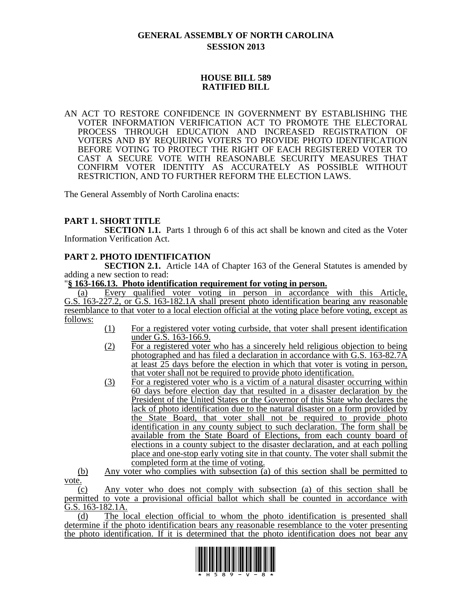# **GENERAL ASSEMBLY OF NORTH CAROLINA SESSION 2013**

## **HOUSE BILL 589 RATIFIED BILL**

AN ACT TO RESTORE CONFIDENCE IN GOVERNMENT BY ESTABLISHING THE VOTER INFORMATION VERIFICATION ACT TO PROMOTE THE ELECTORAL PROCESS THROUGH EDUCATION AND INCREASED REGISTRATION OF VOTERS AND BY REQUIRING VOTERS TO PROVIDE PHOTO IDENTIFICATION BEFORE VOTING TO PROTECT THE RIGHT OF EACH REGISTERED VOTER TO CAST A SECURE VOTE WITH REASONABLE SECURITY MEASURES THAT CONFIRM VOTER IDENTITY AS ACCURATELY AS POSSIBLE WITHOUT RESTRICTION, AND TO FURTHER REFORM THE ELECTION LAWS.

The General Assembly of North Carolina enacts:

# **PART 1. SHORT TITLE**

**SECTION 1.1.** Parts 1 through 6 of this act shall be known and cited as the Voter Information Verification Act.

# **PART 2. PHOTO IDENTIFICATION**

**SECTION 2.1.** Article 14A of Chapter 163 of the General Statutes is amended by adding a new section to read:

### "**§ 163-166.13. Photo identification requirement for voting in person.**

(a) Every qualified voter voting in person in accordance with this Article, G.S. 163-227.2, or G.S. 163-182.1A shall present photo identification bearing any reasonable resemblance to that voter to a local election official at the voting place before voting, except as follows:

- (1) For a registered voter voting curbside, that voter shall present identification under G.S. 163-166.9.
- (2) For a registered voter who has a sincerely held religious objection to being photographed and has filed a declaration in accordance with G.S. 163-82.7A at least 25 days before the election in which that voter is voting in person, that voter shall not be required to provide photo identification.
- (3) For a registered voter who is a victim of a natural disaster occurring within 60 days before election day that resulted in a disaster declaration by the President of the United States or the Governor of this State who declares the lack of photo identification due to the natural disaster on a form provided by the State Board, that voter shall not be required to provide photo identification in any county subject to such declaration. The form shall be available from the State Board of Elections, from each county board of elections in a county subject to the disaster declaration, and at each polling place and one-stop early voting site in that county. The voter shall submit the completed form at the time of voting.

(b) Any voter who complies with subsection (a) of this section shall be permitted to vote.

(c) Any voter who does not comply with subsection (a) of this section shall be permitted to vote a provisional official ballot which shall be counted in accordance with G.S. 163-182.1A.

(d) The local election official to whom the photo identification is presented shall determine if the photo identification bears any reasonable resemblance to the voter presenting the photo identification. If it is determined that the photo identification does not bear any

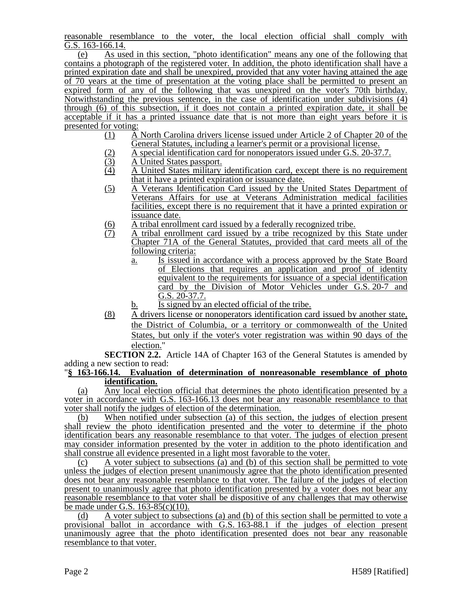reasonable resemblance to the voter, the local election official shall comply with G.S. 163-166.14.

(e) As used in this section, "photo identification" means any one of the following that contains a photograph of the registered voter. In addition, the photo identification shall have a printed expiration date and shall be unexpired, provided that any voter having attained the age of 70 years at the time of presentation at the voting place shall be permitted to present an expired form of any of the following that was unexpired on the voter's 70th birthday. Notwithstanding the previous sentence, in the case of identification under subdivisions (4) through (6) of this subsection, if it does not contain a printed expiration date, it shall be acceptable if it has a printed issuance date that is not more than eight years before it is presented for voting:<br> $(1)$  A

- (1) A North Carolina drivers license issued under Article 2 of Chapter 20 of the General Statutes, including a learner's permit or a provisional license.
- (2) A special identification card for nonoperators issued under G.S. 20-37.7.<br>A United States passport.
- $\frac{(3)}{(4)}$  A United States passport.<br>A United States military
- (4) A United States military identification card, except there is no requirement that it have a printed expiration or issuance date.
- (5) A Veterans Identification Card issued by the United States Department of Veterans Affairs for use at Veterans Administration medical facilities facilities, except there is no requirement that it have a printed expiration or issuance date.
- $\frac{1}{10}$  A tribal enrollment card issued by a federally recognized tribe.<br>  $\frac{1}{10}$  A tribal enrollment card issued by a tribe recognized by this
- A tribal enrollment card issued by a tribe recognized by this State under Chapter 71A of the General Statutes, provided that card meets all of the following criteria:
	- a. Is issued in accordance with a process approved by the State Board of Elections that requires an application and proof of identity equivalent to the requirements for issuance of a special identification card by the Division of Motor Vehicles under G.S. 20-7 and G.S. 20-37.7.
	- b. Is signed by an elected official of the tribe.
- (8) A drivers license or nonoperators identification card issued by another state, the District of Columbia, or a territory or commonwealth of the United States, but only if the voter's voter registration was within 90 days of the election."

**SECTION 2.2.** Article 14A of Chapter 163 of the General Statutes is amended by adding a new section to read:

#### "**§ 163-166.14. Evaluation of determination of nonreasonable resemblance of photo identification.**

(a) Any local election official that determines the photo identification presented by a voter in accordance with G.S. 163-166.13 does not bear any reasonable resemblance to that voter shall notify the judges of election of the determination.

(b) When notified under subsection (a) of this section, the judges of election present shall review the photo identification presented and the voter to determine if the photo identification bears any reasonable resemblance to that voter. The judges of election present may consider information presented by the voter in addition to the photo identification and shall construe all evidence presented in a light most favorable to the voter.

(c) A voter subject to subsections (a) and (b) of this section shall be permitted to vote unless the judges of election present unanimously agree that the photo identification presented does not bear any reasonable resemblance to that voter. The failure of the judges of election present to unanimously agree that photo identification presented by a voter does not bear any reasonable resemblance to that voter shall be dispositive of any challenges that may otherwise be made under G.S. 163-85(c)(10).

(d) A voter subject to subsections (a) and (b) of this section shall be permitted to vote a provisional ballot in accordance with G.S. 163-88.1 if the judges of election present unanimously agree that the photo identification presented does not bear any reasonable resemblance to that voter.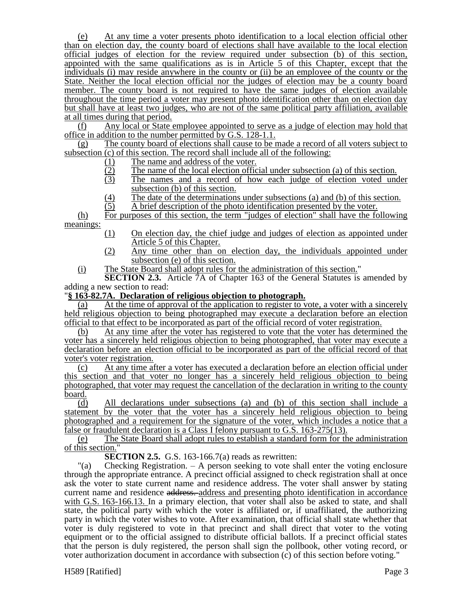(e) At any time a voter presents photo identification to a local election official other than on election day, the county board of elections shall have available to the local election official judges of election for the review required under subsection (b) of this section, appointed with the same qualifications as is in Article 5 of this Chapter, except that the individuals (i) may reside anywhere in the county or (ii) be an employee of the county or the State. Neither the local election official nor the judges of election may be a county board member. The county board is not required to have the same judges of election available throughout the time period a voter may present photo identification other than on election day but shall have at least two judges, who are not of the same political party affiliation, available at all times during that period.

(f) Any local or State employee appointed to serve as a judge of election may hold that office in addition to the number permitted by G.S. 128-1.1.

(g) The county board of elections shall cause to be made a record of all voters subject to subsection (c) of this section. The record shall include all of the following:

- 
- The name of the local election official under subsection (a) of this section.
- (1) The name and address of the voter.<br>  $\frac{12}{3}$  The name of the local election office<br>
The names and a record of how The names and a record of how each judge of election voted under subsection (b) of this section.
- (4) The date of the determinations under subsections (a) and (b) of this section.<br>(5) A brief description of the photo identification presented by the voter.
- (5) A brief description of the photo identification presented by the voter.

(h) For purposes of this section, the term "judges of election" shall have the following meanings:

- (1) On election day, the chief judge and judges of election as appointed under Article 5 of this Chapter.
- (2) Any time other than on election day, the individuals appointed under subsection (e) of this section.
- (i) The State Board shall adopt rules for the administration of this section."

**SECTION 2.3.** Article 7A of Chapter 163 of the General Statutes is amended by adding a new section to read:

#### "**§ 163-82.7A. Declaration of religious objection to photograph.**

(a) At the time of approval of the application to register to vote, a voter with a sincerely held religious objection to being photographed may execute a declaration before an election official to that effect to be incorporated as part of the official record of voter registration.

(b) At any time after the voter has registered to vote that the voter has determined the voter has a sincerely held religious objection to being photographed, that voter may execute a declaration before an election official to be incorporated as part of the official record of that voter's voter registration.

(c) At any time after a voter has executed a declaration before an election official under this section and that voter no longer has a sincerely held religious objection to being photographed, that voter may request the cancellation of the declaration in writing to the county board.

(d) All declarations under subsections (a) and (b) of this section shall include a statement by the voter that the voter has a sincerely held religious objection to being photographed and a requirement for the signature of the voter, which includes a notice that a false or fraudulent declaration is a Class I felony pursuant to G.S. 163-275(13).

(e) The State Board shall adopt rules to establish a standard form for the administration of this section."

**SECTION 2.5.** G.S. 163-166.7(a) reads as rewritten:

"(a) Checking Registration. – A person seeking to vote shall enter the voting enclosure through the appropriate entrance. A precinct official assigned to check registration shall at once ask the voter to state current name and residence address. The voter shall answer by stating current name and residence address. address and presenting photo identification in accordance with G.S. 163-166.13. In a primary election, that voter shall also be asked to state, and shall state, the political party with which the voter is affiliated or, if unaffiliated, the authorizing party in which the voter wishes to vote. After examination, that official shall state whether that voter is duly registered to vote in that precinct and shall direct that voter to the voting equipment or to the official assigned to distribute official ballots. If a precinct official states that the person is duly registered, the person shall sign the pollbook, other voting record, or voter authorization document in accordance with subsection (c) of this section before voting."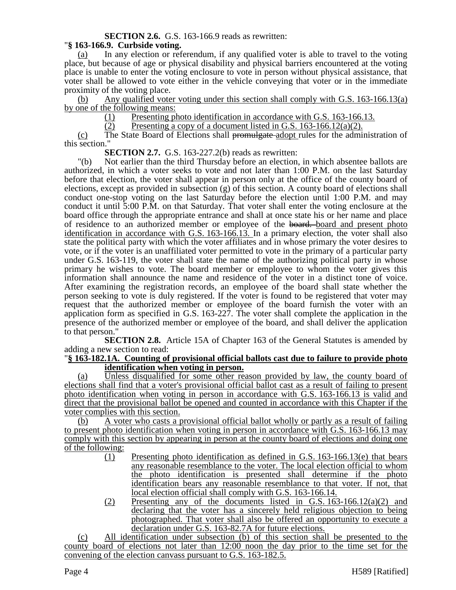### **SECTION 2.6.** G.S. 163-166.9 reads as rewritten:

### "**§ 163-166.9. Curbside voting.**

(a) In any election or referendum, if any qualified voter is able to travel to the voting place, but because of age or physical disability and physical barriers encountered at the voting place is unable to enter the voting enclosure to vote in person without physical assistance, that voter shall be allowed to vote either in the vehicle conveying that voter or in the immediate proximity of the voting place.

(b) Any qualified voter voting under this section shall comply with G.S. 163-166.13(a) by one of the following means:

(1) Presenting photo identification in accordance with G.S. 163-166.13.

 $(2)$  Presenting a copy of a document listed in G.S. 163-166.12(a)(2).

(c) The State Board of Elections shall promulgate adopt rules for the administration of this section."

**SECTION 2.7.** G.S. 163-227.2(b) reads as rewritten:

"(b) Not earlier than the third Thursday before an election, in which absentee ballots are authorized, in which a voter seeks to vote and not later than 1:00 P.M. on the last Saturday before that election, the voter shall appear in person only at the office of the county board of elections, except as provided in subsection (g) of this section. A county board of elections shall conduct one-stop voting on the last Saturday before the election until 1:00 P.M. and may conduct it until 5:00 P.M. on that Saturday. That voter shall enter the voting enclosure at the board office through the appropriate entrance and shall at once state his or her name and place of residence to an authorized member or employee of the board. board and present photo identification in accordance with G.S. 163-166.13. In a primary election, the voter shall also state the political party with which the voter affiliates and in whose primary the voter desires to vote, or if the voter is an unaffiliated voter permitted to vote in the primary of a particular party under G.S. 163-119, the voter shall state the name of the authorizing political party in whose primary he wishes to vote. The board member or employee to whom the voter gives this information shall announce the name and residence of the voter in a distinct tone of voice. After examining the registration records, an employee of the board shall state whether the person seeking to vote is duly registered. If the voter is found to be registered that voter may request that the authorized member or employee of the board furnish the voter with an application form as specified in G.S. 163-227. The voter shall complete the application in the presence of the authorized member or employee of the board, and shall deliver the application to that person."

**SECTION 2.8.** Article 15A of Chapter 163 of the General Statutes is amended by adding a new section to read:

#### "**§ 163-182.1A. Counting of provisional official ballots cast due to failure to provide photo identification when voting in person.**

(a) Unless disqualified for some other reason provided by law, the county board of elections shall find that a voter's provisional official ballot cast as a result of failing to present photo identification when voting in person in accordance with G.S. 163-166.13 is valid and direct that the provisional ballot be opened and counted in accordance with this Chapter if the voter complies with this section.

(b) A voter who casts a provisional official ballot wholly or partly as a result of failing to present photo identification when voting in person in accordance with G.S. 163-166.13 may comply with this section by appearing in person at the county board of elections and doing one of the following:

- (1) Presenting photo identification as defined in G.S. 163-166.13(e) that bears any reasonable resemblance to the voter. The local election official to whom the photo identification is presented shall determine if the photo identification bears any reasonable resemblance to that voter. If not, that local election official shall comply with G.S. 163-166.14.
- $(2)$  Presenting any of the documents listed in G.S. 163-166.12(a)(2) and declaring that the voter has a sincerely held religious objection to being photographed. That voter shall also be offered an opportunity to execute a declaration under G.S. 163-82.7A for future elections.

(c) All identification under subsection (b) of this section shall be presented to the county board of elections not later than 12:00 noon the day prior to the time set for the convening of the election canvass pursuant to G.S. 163-182.5.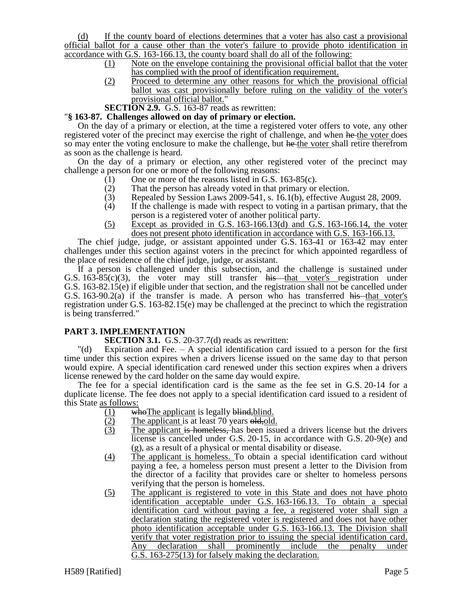(d) If the county board of elections determines that a voter has also cast a provisional official ballot for a cause other than the voter's failure to provide photo identification in accordance with G.S. 163-166.13, the county board shall do all of the following:

- (1) Note on the envelope containing the provisional official ballot that the voter has complied with the proof of identification requirement.
- (2) Proceed to determine any other reasons for which the provisional official ballot was cast provisionally before ruling on the validity of the voter's provisional official ballot."
- **SECTION 2.9.** G.S. 163-87 reads as rewritten:

### "**§ 163-87. Challenges allowed on day of primary or election.**

On the day of a primary or election, at the time a registered voter offers to vote, any other registered voter of the precinct may exercise the right of challenge, and when he the voter does so may enter the voting enclosure to make the challenge, but he the voter shall retire therefrom as soon as the challenge is heard.

On the day of a primary or election, any other registered voter of the precinct may challenge a person for one or more of the following reasons:

- (1) One or more of the reasons listed in G.S. 163-85(c).
- (2) That the person has already voted in that primary or election.<br>  $(3)$  Repealed by Session Laws 2009-541, s. 16.1(b), effective Au
- Repealed by Session Laws 2009-541, s. 16.1(b), effective August 28, 2009.
- (4) If the challenge is made with respect to voting in a partisan primary, that the person is a registered voter of another political party.
- (5) Except as provided in G.S. 163-166.13(d) and G.S. 163-166.14, the voter does not present photo identification in accordance with G.S. 163-166.13.

The chief judge, judge, or assistant appointed under G.S. 163-41 or 163-42 may enter challenges under this section against voters in the precinct for which appointed regardless of the place of residence of the chief judge, judge, or assistant.

If a person is challenged under this subsection, and the challenge is sustained under G.S. 163-85(c)(3), the voter may still transfer his that voter's registration under G.S. 163-82.15(e) if eligible under that section, and the registration shall not be cancelled under G.S.  $163-90.2(a)$  if the transfer is made. A person who has transferred his that voter's registration under G.S. 163-82.15(e) may be challenged at the precinct to which the registration is being transferred."

# **PART 3. IMPLEMENTATION**

**SECTION 3.1.** G.S. 20-37.7(d) reads as rewritten:

"(d) Expiration and Fee. – A special identification card issued to a person for the first time under this section expires when a drivers license issued on the same day to that person would expire. A special identification card renewed under this section expires when a drivers license renewed by the card holder on the same day would expire.

The fee for a special identification card is the same as the fee set in G.S. 20-14 for a duplicate license. The fee does not apply to a special identification card issued to a resident of this State as follows:

- (1) who The applicant is legally  $\frac{1}{2}$  who The applicant is legally  $\frac{1}{2}$  blind.
- $\frac{(2)}{(3)}$  The applicant is at least 70 years old, old.<br>The applicant is homeless, has been issue.
- The applicant is homeless, has been issued a drivers license but the drivers license is cancelled under G.S. 20-15, in accordance with G.S. 20-9(e) and (g), as a result of a physical or mental disability or disease.
- (4) The applicant is homeless. To obtain a special identification card without paying a fee, a homeless person must present a letter to the Division from the director of a facility that provides care or shelter to homeless persons verifying that the person is homeless.
- (5) The applicant is registered to vote in this State and does not have photo identification acceptable under G.S. 163-166.13. To obtain a special identification card without paying a fee, a registered voter shall sign a declaration stating the registered voter is registered and does not have other photo identification acceptable under G.S. 163-166.13. The Division shall verify that voter registration prior to issuing the special identification card. Any declaration shall prominently include the penalty under G.S. 163-275(13) for falsely making the declaration.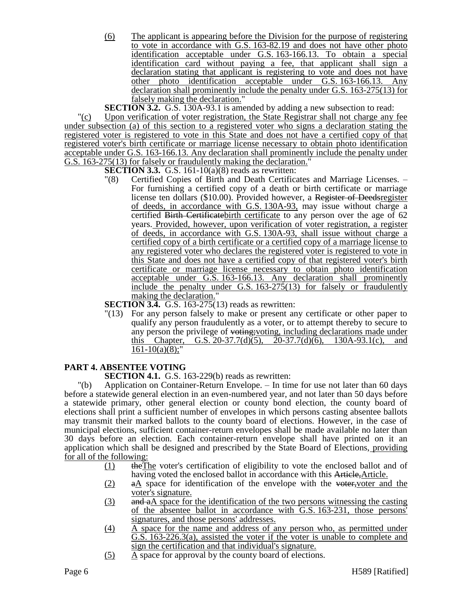(6) The applicant is appearing before the Division for the purpose of registering to vote in accordance with G.S. 163-82.19 and does not have other photo identification acceptable under G.S. 163-166.13. To obtain a special identification card without paying a fee, that applicant shall sign a declaration stating that applicant is registering to vote and does not have other photo identification acceptable under G.S. 163-166.13. Any declaration shall prominently include the penalty under G.S. 163-275(13) for falsely making the declaration."

**SECTION 3.2.** G.S. 130A-93.1 is amended by adding a new subsection to read:

"(c) Upon verification of voter registration, the State Registrar shall not charge any fee under subsection (a) of this section to a registered voter who signs a declaration stating the registered voter is registered to vote in this State and does not have a certified copy of that registered voter's birth certificate or marriage license necessary to obtain photo identification acceptable under G.S. 163-166.13. Any declaration shall prominently include the penalty under G.S. 163-275(13) for falsely or fraudulently making the declaration."

**SECTION 3.3.** G.S. 161-10(a)(8) reads as rewritten:

"(8) Certified Copies of Birth and Death Certificates and Marriage Licenses. – For furnishing a certified copy of a death or birth certificate or marriage license ten dollars (\$10.00). Provided however, a Register of Deedsregister of deeds, in accordance with G.S. 130A-93, may issue without charge a certified Birth Certificatebirth certificate to any person over the age of 62 years. Provided, however, upon verification of voter registration, a register of deeds, in accordance with G.S. 130A-93, shall issue without charge a certified copy of a birth certificate or a certified copy of a marriage license to any registered voter who declares the registered voter is registered to vote in this State and does not have a certified copy of that registered voter's birth certificate or marriage license necessary to obtain photo identification acceptable under G.S. 163-166.13. Any declaration shall prominently include the penalty under G.S. 163-275(13) for falsely or fraudulently making the declaration."

**SECTION 3.4.** G.S. 163-275(13) reads as rewritten:

"(13) For any person falsely to make or present any certificate or other paper to qualify any person fraudulently as a voter, or to attempt thereby to secure to any person the privilege of voting;voting, including declarations made under this Chapter, G.S. 20-37.7(d)(5), 20-37.7(d)(6), 130A-93.1(c),  $161-10(a)(8)$ ;"

# **PART 4. ABSENTEE VOTING**

**SECTION 4.1.** G.S. 163-229(b) reads as rewritten:

"(b) Application on Container-Return Envelope. – In time for use not later than 60 days before a statewide general election in an even-numbered year, and not later than 50 days before a statewide primary, other general election or county bond election, the county board of elections shall print a sufficient number of envelopes in which persons casting absentee ballots may transmit their marked ballots to the county board of elections. However, in the case of municipal elections, sufficient container-return envelopes shall be made available no later than 30 days before an election. Each container-return envelope shall have printed on it an application which shall be designed and prescribed by the State Board of Elections, providing for all of the following:

- (1) theThe voter's certification of eligibility to vote the enclosed ballot and of having voted the enclosed ballot in accordance with this Article, Article.
- $(2)$  a a space for identification of the envelope with the voter, voter and the voter's signature.
- (3) and aA space for the identification of the two persons witnessing the casting of the absentee ballot in accordance with G.S. 163-231, those persons' signatures, and those persons' addresses.
- (4) A space for the name and address of any person who, as permitted under G.S. 163-226.3(a), assisted the voter if the voter is unable to complete and sign the certification and that individual's signature.
- $(5)$  A space for approval by the county board of elections.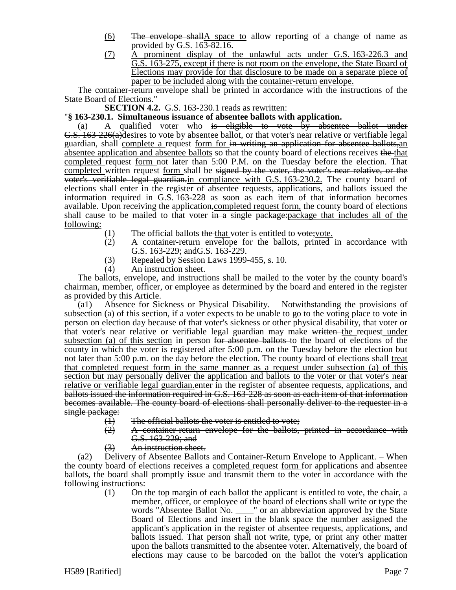- (6) The envelope shallA space to allow reporting of a change of name as provided by G.S. 163-82.16.
- (7) A prominent display of the unlawful acts under G.S. 163-226.3 and G.S. 163-275, except if there is not room on the envelope, the State Board of Elections may provide for that disclosure to be made on a separate piece of paper to be included along with the container-return envelope.

The container-return envelope shall be printed in accordance with the instructions of the State Board of Elections."

**SECTION 4.2.** G.S. 163-230.1 reads as rewritten:

### "**§ 163-230.1. Simultaneous issuance of absentee ballots with application.**

(a) A qualified voter who is eligible to vote by absentee ballot under G.S. 163-226(a)desires to vote by absentee ballot, or that voter's near relative or verifiable legal guardian, shall complete a request form for in writing an application for absentee ballots,an absentee application and absentee ballots so that the county board of elections receives the that completed request form not later than 5:00 P.M. on the Tuesday before the election. That completed written request form shall be signed by the voter, the voter's near relative, or the voter's verifiable legal guardian.in compliance with G.S. 163-230.2. The county board of elections shall enter in the register of absentee requests, applications, and ballots issued the information required in G.S. 163-228 as soon as each item of that information becomes available. Upon receiving the application, completed request form, the county board of elections shall cause to be mailed to that voter  $\frac{1}{2}$  in a single package: package that includes all of the following:

- $(1)$  The official ballots the that voter is entitled to vote; vote.
- (2) A container-return envelope for the ballots, printed in accordance with G.S. 163-229; andG.S. 163-229.
- (3) Repealed by Session Laws 1999-455, s. 10.
- (4) An instruction sheet.

The ballots, envelope, and instructions shall be mailed to the voter by the county board's chairman, member, officer, or employee as determined by the board and entered in the register as provided by this Article.

(a1) Absence for Sickness or Physical Disability. – Notwithstanding the provisions of subsection (a) of this section, if a voter expects to be unable to go to the voting place to vote in person on election day because of that voter's sickness or other physical disability, that voter or that voter's near relative or verifiable legal guardian may make written the request under subsection (a) of this section in person <del>for absentee ballots</del> to the board of elections of the county in which the voter is registered after 5:00 p.m. on the Tuesday before the election but not later than 5:00 p.m. on the day before the election. The county board of elections shall treat that completed request form in the same manner as a request under subsection (a) of this section but may personally deliver the application and ballots to the voter or that voter's near relative or verifiable legal guardian. enter in the register of absentee requests, applications, and ballots issued the information required in G.S. 163-228 as soon as each item of that information becomes available. The county board of elections shall personally deliver to the requester in a single package:

- 
- (1) The official ballots the voter is entitled to vote;<br>(2) A container-return envelope for the ballots, (2) A container-return envelope for the ballots, printed in accordance with G.S. 163-229; and
- (3) An instruction sheet.

(a2) Delivery of Absentee Ballots and Container-Return Envelope to Applicant. – When the county board of elections receives a completed request <u>form</u> for applications and absentee ballots, the board shall promptly issue and transmit them to the voter in accordance with the following instructions:

(1) On the top margin of each ballot the applicant is entitled to vote, the chair, a member, officer, or employee of the board of elections shall write or type the words "Absentee Ballot No. \_\_\_\_" or an abbreviation approved by the State Board of Elections and insert in the blank space the number assigned the applicant's application in the register of absentee requests, applications, and ballots issued. That person shall not write, type, or print any other matter upon the ballots transmitted to the absentee voter. Alternatively, the board of elections may cause to be barcoded on the ballot the voter's application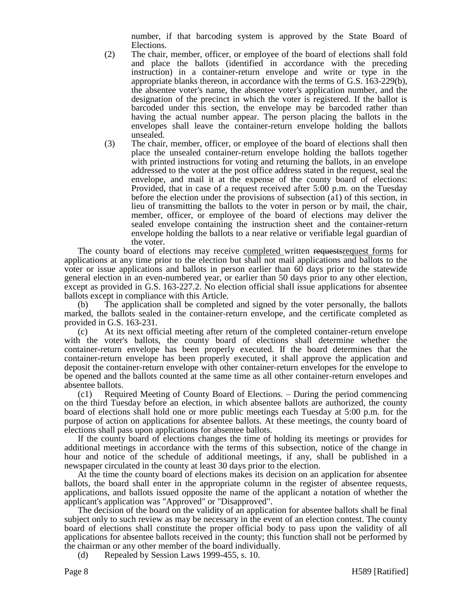number, if that barcoding system is approved by the State Board of Elections.

- (2) The chair, member, officer, or employee of the board of elections shall fold and place the ballots (identified in accordance with the preceding instruction) in a container-return envelope and write or type in the appropriate blanks thereon, in accordance with the terms of G.S. 163-229(b), the absentee voter's name, the absentee voter's application number, and the designation of the precinct in which the voter is registered. If the ballot is barcoded under this section, the envelope may be barcoded rather than having the actual number appear. The person placing the ballots in the envelopes shall leave the container-return envelope holding the ballots unsealed.
- (3) The chair, member, officer, or employee of the board of elections shall then place the unsealed container-return envelope holding the ballots together with printed instructions for voting and returning the ballots, in an envelope addressed to the voter at the post office address stated in the request, seal the envelope, and mail it at the expense of the county board of elections: Provided, that in case of a request received after 5:00 p.m. on the Tuesday before the election under the provisions of subsection (a1) of this section, in lieu of transmitting the ballots to the voter in person or by mail, the chair, member, officer, or employee of the board of elections may deliver the sealed envelope containing the instruction sheet and the container-return envelope holding the ballots to a near relative or verifiable legal guardian of the voter.

The county board of elections may receive completed written requests request forms for applications at any time prior to the election but shall not mail applications and ballots to the voter or issue applications and ballots in person earlier than 60 days prior to the statewide general election in an even-numbered year, or earlier than 50 days prior to any other election, except as provided in G.S. 163-227.2. No election official shall issue applications for absentee ballots except in compliance with this Article.

(b) The application shall be completed and signed by the voter personally, the ballots marked, the ballots sealed in the container-return envelope, and the certificate completed as provided in G.S. 163-231.

(c) At its next official meeting after return of the completed container-return envelope with the voter's ballots, the county board of elections shall determine whether the container-return envelope has been properly executed. If the board determines that the container-return envelope has been properly executed, it shall approve the application and deposit the container-return envelope with other container-return envelopes for the envelope to be opened and the ballots counted at the same time as all other container-return envelopes and absentee ballots.

(c1) Required Meeting of County Board of Elections. – During the period commencing on the third Tuesday before an election, in which absentee ballots are authorized, the county board of elections shall hold one or more public meetings each Tuesday at 5:00 p.m. for the purpose of action on applications for absentee ballots. At these meetings, the county board of elections shall pass upon applications for absentee ballots.

If the county board of elections changes the time of holding its meetings or provides for additional meetings in accordance with the terms of this subsection, notice of the change in hour and notice of the schedule of additional meetings, if any, shall be published in a newspaper circulated in the county at least 30 days prior to the election.

At the time the county board of elections makes its decision on an application for absentee ballots, the board shall enter in the appropriate column in the register of absentee requests, applications, and ballots issued opposite the name of the applicant a notation of whether the applicant's application was "Approved" or "Disapproved".

The decision of the board on the validity of an application for absentee ballots shall be final subject only to such review as may be necessary in the event of an election contest. The county board of elections shall constitute the proper official body to pass upon the validity of all applications for absentee ballots received in the county; this function shall not be performed by the chairman or any other member of the board individually.

(d) Repealed by Session Laws 1999-455, s. 10.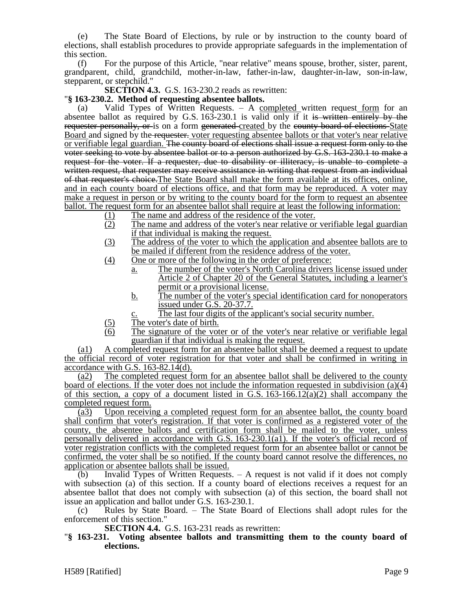(e) The State Board of Elections, by rule or by instruction to the county board of elections, shall establish procedures to provide appropriate safeguards in the implementation of this section.

(f) For the purpose of this Article, "near relative" means spouse, brother, sister, parent, grandparent, child, grandchild, mother-in-law, father-in-law, daughter-in-law, son-in-law, stepparent, or stepchild."

**SECTION 4.3.** G.S. 163-230.2 reads as rewritten:

### "**§ 163-230.2. Method of requesting absentee ballots.**

Valid Types of Written Requests.  $-$  A completed written request form for an absentee ballot as required by G.S. 163-230.1 is valid only if it is written entirely by the requester personally, or is on a form generated created by the county board of elections State Board and signed by the requester. voter requesting absentee ballots or that voter's near relative or verifiable legal guardian. The county board of elections shall issue a request form only to the voter seeking to vote by absentee ballot or to a person authorized by G.S. 163-230.1 to make a request for the voter. If a requester, due to disability or illiteracy, is unable to complete a written request, that requester may receive assistance in writing that request from an individual of that requester's choice.The State Board shall make the form available at its offices, online, and in each county board of elections office, and that form may be reproduced. A voter may make a request in person or by writing to the county board for the form to request an absentee ballot. The request form for an absentee ballot shall require at least the following information:

- (1) The name and address of the residence of the voter.
- (2) The name and address of the voter's near relative or verifiable legal guardian if that individual is making the request.
- (3) The address of the voter to which the application and absentee ballots are to be mailed if different from the residence address of the voter.
- (4) One or more of the following in the order of preference:
	- a. The number of the voter's North Carolina drivers license issued under Article 2 of Chapter 20 of the General Statutes, including a learner's permit or a provisional license.
	- b. The number of the voter's special identification card for nonoperators issued under G.S. 20-37.7.
		- The last four digits of the applicant's social security number.
- (5) The voter's date of birth.
- (6) The signature of the voter or of the voter's near relative or verifiable legal guardian if that individual is making the request.

(a1) A completed request form for an absentee ballot shall be deemed a request to update the official record of voter registration for that voter and shall be confirmed in writing in accordance with G.S. 163-82.14(d).

(a2) The completed request form for an absentee ballot shall be delivered to the county board of elections. If the voter does not include the information requested in subdivision (a)(4) of this section, a copy of a document listed in G.S.  $163-166.12(a)(2)$  shall accompany the completed request form.

(a3) Upon receiving a completed request form for an absentee ballot, the county board shall confirm that voter's registration. If that voter is confirmed as a registered voter of the county, the absentee ballots and certification form shall be mailed to the voter, unless personally delivered in accordance with G.S. 163-230.1(a1). If the voter's official record of voter registration conflicts with the completed request form for an absentee ballot or cannot be confirmed, the voter shall be so notified. If the county board cannot resolve the differences, no application or absentee ballots shall be issued.

(b) Invalid Types of Written Requests. – A request is not valid if it does not comply with subsection (a) of this section. If a county board of elections receives a request for an absentee ballot that does not comply with subsection (a) of this section, the board shall not issue an application and ballot under G.S. 163-230.1.

(c) Rules by State Board. – The State Board of Elections shall adopt rules for the enforcement of this section."

**SECTION 4.4.** G.S. 163-231 reads as rewritten:

"**§ 163-231. Voting absentee ballots and transmitting them to the county board of elections.**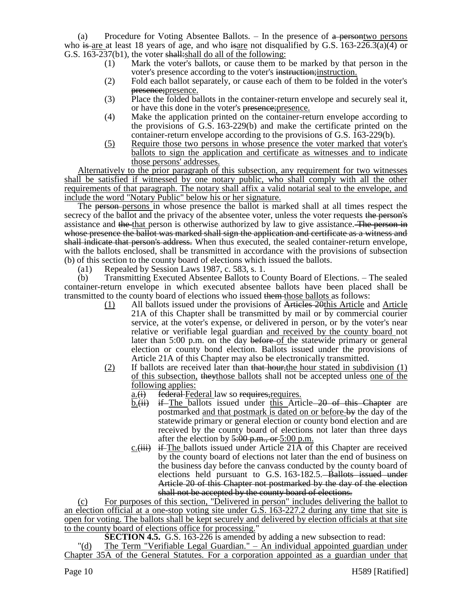(a) Procedure for Voting Absentee Ballots.  $-$  In the presence of  $\alpha$  persontwo persons who is are at least 18 years of age, and who is are not disqualified by G.S.  $163-226.3(a)(4)$  or G.S. 163-237(b1), the voter shall: shall do all of the following:

- (1) Mark the voter's ballots, or cause them to be marked by that person in the voter's presence according to the voter's instruction; instruction.
- (2) Fold each ballot separately, or cause each of them to be folded in the voter's presence;presence.
- (3) Place the folded ballots in the container-return envelope and securely seal it, or have this done in the voter's presence; presence.
- (4) Make the application printed on the container-return envelope according to the provisions of G.S. 163-229(b) and make the certificate printed on the container-return envelope according to the provisions of G.S. 163-229(b).
- (5) Require those two persons in whose presence the voter marked that voter's ballots to sign the application and certificate as witnesses and to indicate those persons' addresses.

Alternatively to the prior paragraph of this subsection, any requirement for two witnesses shall be satisfied if witnessed by one notary public, who shall comply with all the other requirements of that paragraph. The notary shall affix a valid notarial seal to the envelope, and include the word "Notary Public" below his or her signature.

The person-persons in whose presence the ballot is marked shall at all times respect the secrecy of the ballot and the privacy of the absentee voter, unless the voter requests the person's assistance and the that person is otherwise authorized by law to give assistance. The person in whose presence the ballot was marked shall sign the application and certificate as a witness and shall indicate that person's address. When thus executed, the sealed container-return envelope, with the ballots enclosed, shall be transmitted in accordance with the provisions of subsection (b) of this section to the county board of elections which issued the ballots.

(a1) Repealed by Session Laws 1987, c. 583, s. 1.

(b) Transmitting Executed Absentee Ballots to County Board of Elections. – The sealed container-return envelope in which executed absentee ballots have been placed shall be transmitted to the county board of elections who issued them those ballots as follows:

- (1) All ballots issued under the provisions of Articles 20this Article and Article 21A of this Chapter shall be transmitted by mail or by commercial courier service, at the voter's expense, or delivered in person, or by the voter's near relative or verifiable legal guardian and received by the county board not later than 5:00 p.m. on the day before of the statewide primary or general election or county bond election. Ballots issued under the provisions of Article 21A of this Chapter may also be electronically transmitted.
- (2) If ballots are received later than that hour, the hour stated in subdivision  $(1)$ of this subsection, theythose ballots shall not be accepted unless one of the following applies:
	- $a_{\cdot}(i)$  federal Federal law so requires, requires.
	- $b.\overleftrightarrow{ii}$  if The ballots issued under this Article 20 of this Chapter are postmarked and that postmark is dated on or before by the day of the statewide primary or general election or county bond election and are received by the county board of elections not later than three days after the election by  $5:00$  p.m., or  $5:00$  p.m.
	- $c$ . (iii) if The ballots issued under Article 21A of this Chapter are received by the county board of elections not later than the end of business on the business day before the canvass conducted by the county board of elections held pursuant to G.S. 163-182.5. Ballots issued under Article 20 of this Chapter not postmarked by the day of the election shall not be accepted by the county board of elections.

(c) For purposes of this section, "Delivered in person" includes delivering the ballot to an election official at a one-stop voting site under G.S. 163-227.2 during any time that site is open for voting. The ballots shall be kept securely and delivered by election officials at that site to the county board of elections office for processing."

**SECTION 4.5.** G.S. 163-226 is amended by adding a new subsection to read:

The Term "Verifiable Legal Guardian."  $-$  An individual appointed guardian under Chapter 35A of the General Statutes. For a corporation appointed as a guardian under that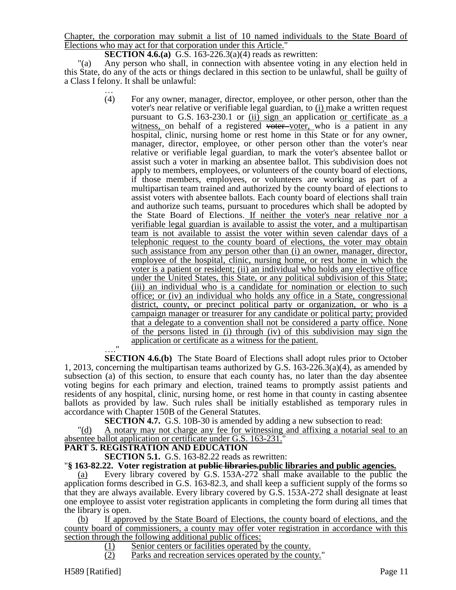Chapter, the corporation may submit a list of 10 named individuals to the State Board of Elections who may act for that corporation under this Article."

**SECTION 4.6.(a)** G.S. 163-226.3(a)(4) reads as rewritten:

"(a) Any person who shall, in connection with absentee voting in any election held in this State, do any of the acts or things declared in this section to be unlawful, shall be guilty of a Class I felony. It shall be unlawful:

> … (4) For any owner, manager, director, employee, or other person, other than the voter's near relative or verifiable legal guardian, to (i) make a written request pursuant to G.S. 163-230.1 or (ii) sign an application or certificate as a witness, on behalf of a registered voter voter, who is a patient in any hospital, clinic, nursing home or rest home in this State or for any owner, manager, director, employee, or other person other than the voter's near relative or verifiable legal guardian, to mark the voter's absentee ballot or assist such a voter in marking an absentee ballot. This subdivision does not apply to members, employees, or volunteers of the county board of elections, if those members, employees, or volunteers are working as part of a multipartisan team trained and authorized by the county board of elections to assist voters with absentee ballots. Each county board of elections shall train and authorize such teams, pursuant to procedures which shall be adopted by the State Board of Elections. If neither the voter's near relative nor a verifiable legal guardian is available to assist the voter, and a multipartisan team is not available to assist the voter within seven calendar days of a telephonic request to the county board of elections, the voter may obtain such assistance from any person other than (i) an owner, manager, director, employee of the hospital, clinic, nursing home, or rest home in which the voter is a patient or resident; (ii) an individual who holds any elective office under the United States, this State, or any political subdivision of this State; (iii) an individual who is a candidate for nomination or election to such office; or (iv) an individual who holds any office in a State, congressional district, county, or precinct political party or organization, or who is a campaign manager or treasurer for any candidate or political party; provided that a delegate to a convention shall not be considered a party office. None of the persons listed in (i) through (iv) of this subdivision may sign the application or certificate as a witness for the patient.

…." **SECTION 4.6.(b)** The State Board of Elections shall adopt rules prior to October 1, 2013, concerning the multipartisan teams authorized by G.S. 163-226.3(a)(4), as amended by subsection (a) of this section, to ensure that each county has, no later than the day absentee voting begins for each primary and election, trained teams to promptly assist patients and residents of any hospital, clinic, nursing home, or rest home in that county in casting absentee ballots as provided by law. Such rules shall be initially established as temporary rules in accordance with Chapter 150B of the General Statutes.

**SECTION 4.7.** G.S. 10B-30 is amended by adding a new subsection to read: "(d) A notary may not charge any fee for witnessing and affixing a notarial seal to an

### absentee ballot application or certificate under G.S. 163-231."

### **PART 5. REGISTRATION AND EDUCATION**

**SECTION 5.1.** G.S. 163-82.22 reads as rewritten:

### "**§ 163-82.22. Voter registration at public libraries.public libraries and public agencies.**

(a) Every library covered by G.S. 153A-272 shall make available to the public the application forms described in G.S. 163-82.3, and shall keep a sufficient supply of the forms so that they are always available. Every library covered by G.S. 153A-272 shall designate at least one employee to assist voter registration applicants in completing the form during all times that the library is open.

(b) If approved by the State Board of Elections, the county board of elections, and the county board of commissioners, a county may offer voter registration in accordance with this section through the following additional public offices:

(1) Senior centers or facilities operated by the county.

(2) Parks and recreation services operated by the county."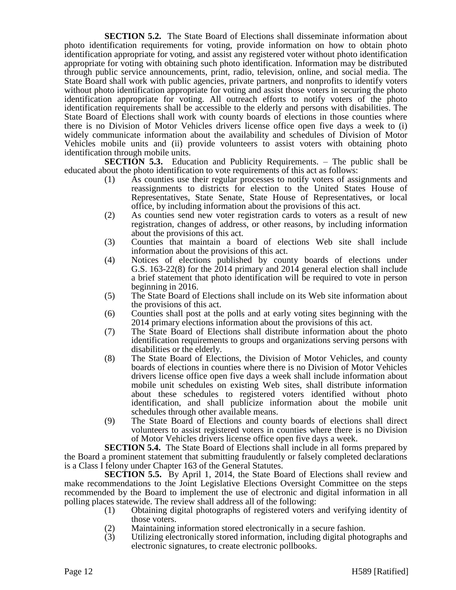**SECTION 5.2.** The State Board of Elections shall disseminate information about photo identification requirements for voting, provide information on how to obtain photo identification appropriate for voting, and assist any registered voter without photo identification appropriate for voting with obtaining such photo identification. Information may be distributed through public service announcements, print, radio, television, online, and social media. The State Board shall work with public agencies, private partners, and nonprofits to identify voters without photo identification appropriate for voting and assist those voters in securing the photo identification appropriate for voting. All outreach efforts to notify voters of the photo identification requirements shall be accessible to the elderly and persons with disabilities. The State Board of Elections shall work with county boards of elections in those counties where there is no Division of Motor Vehicles drivers license office open five days a week to (i) widely communicate information about the availability and schedules of Division of Motor Vehicles mobile units and (ii) provide volunteers to assist voters with obtaining photo identification through mobile units.

**SECTION 5.3.** Education and Publicity Requirements. – The public shall be educated about the photo identification to vote requirements of this act as follows:

- (1) As counties use their regular processes to notify voters of assignments and reassignments to districts for election to the United States House of Representatives, State Senate, State House of Representatives, or local office, by including information about the provisions of this act.
- (2) As counties send new voter registration cards to voters as a result of new registration, changes of address, or other reasons, by including information about the provisions of this act.
- (3) Counties that maintain a board of elections Web site shall include information about the provisions of this act.
- (4) Notices of elections published by county boards of elections under G.S. 163-22(8) for the 2014 primary and 2014 general election shall include a brief statement that photo identification will be required to vote in person beginning in 2016.
- (5) The State Board of Elections shall include on its Web site information about the provisions of this act.
- (6) Counties shall post at the polls and at early voting sites beginning with the 2014 primary elections information about the provisions of this act.
- (7) The State Board of Elections shall distribute information about the photo identification requirements to groups and organizations serving persons with disabilities or the elderly.
- (8) The State Board of Elections, the Division of Motor Vehicles, and county boards of elections in counties where there is no Division of Motor Vehicles drivers license office open five days a week shall include information about mobile unit schedules on existing Web sites, shall distribute information about these schedules to registered voters identified without photo identification, and shall publicize information about the mobile unit schedules through other available means.
- (9) The State Board of Elections and county boards of elections shall direct volunteers to assist registered voters in counties where there is no Division of Motor Vehicles drivers license office open five days a week.

**SECTION 5.4.** The State Board of Elections shall include in all forms prepared by the Board a prominent statement that submitting fraudulently or falsely completed declarations is a Class I felony under Chapter 163 of the General Statutes.

**SECTION 5.5.** By April 1, 2014, the State Board of Elections shall review and make recommendations to the Joint Legislative Elections Oversight Committee on the steps recommended by the Board to implement the use of electronic and digital information in all polling places statewide. The review shall address all of the following:

- (1) Obtaining digital photographs of registered voters and verifying identity of those voters.
- (2) Maintaining information stored electronically in a secure fashion.
- (3) Utilizing electronically stored information, including digital photographs and electronic signatures, to create electronic pollbooks.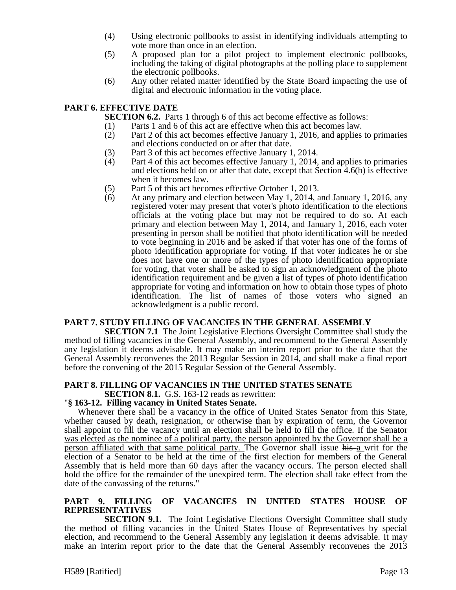- (4) Using electronic pollbooks to assist in identifying individuals attempting to vote more than once in an election.
- (5) A proposed plan for a pilot project to implement electronic pollbooks, including the taking of digital photographs at the polling place to supplement the electronic pollbooks.
- (6) Any other related matter identified by the State Board impacting the use of digital and electronic information in the voting place.

### **PART 6. EFFECTIVE DATE**

**SECTION 6.2.** Parts 1 through 6 of this act become effective as follows:

- 
- (1) Parts 1 and 6 of this act are effective when this act becomes law.<br>(2) Part 2 of this act becomes effective January 1, 2016, and applies Part 2 of this act becomes effective January 1, 2016, and applies to primaries and elections conducted on or after that date.
- (3) Part 3 of this act becomes effective January 1, 2014.
- (4) Part 4 of this act becomes effective January 1, 2014, and applies to primaries and elections held on or after that date, except that Section 4.6(b) is effective when it becomes law.
- (5) Part 5 of this act becomes effective October 1, 2013.
- (6) At any primary and election between May 1, 2014, and January 1, 2016, any registered voter may present that voter's photo identification to the elections officials at the voting place but may not be required to do so. At each primary and election between May 1, 2014, and January 1, 2016, each voter presenting in person shall be notified that photo identification will be needed to vote beginning in 2016 and be asked if that voter has one of the forms of photo identification appropriate for voting. If that voter indicates he or she does not have one or more of the types of photo identification appropriate for voting, that voter shall be asked to sign an acknowledgment of the photo identification requirement and be given a list of types of photo identification appropriate for voting and information on how to obtain those types of photo identification. The list of names of those voters who signed an acknowledgment is a public record.

#### **PART 7. STUDY FILLING OF VACANCIES IN THE GENERAL ASSEMBLY**

**SECTION 7.1** The Joint Legislative Elections Oversight Committee shall study the method of filling vacancies in the General Assembly, and recommend to the General Assembly any legislation it deems advisable. It may make an interim report prior to the date that the General Assembly reconvenes the 2013 Regular Session in 2014, and shall make a final report before the convening of the 2015 Regular Session of the General Assembly.

#### **PART 8. FILLING OF VACANCIES IN THE UNITED STATES SENATE SECTION 8.1.** G.S. 163-12 reads as rewritten:

### "**§ 163-12. Filling vacancy in United States Senate.**

Whenever there shall be a vacancy in the office of United States Senator from this State, whether caused by death, resignation, or otherwise than by expiration of term, the Governor shall appoint to fill the vacancy until an election shall be held to fill the office. If the Senator was elected as the nominee of a political party, the person appointed by the Governor shall be a person affiliated with that same political party. The Governor shall issue his a writ for the election of a Senator to be held at the time of the first election for members of the General Assembly that is held more than 60 days after the vacancy occurs. The person elected shall hold the office for the remainder of the unexpired term. The election shall take effect from the date of the canvassing of the returns."

#### **PART 9. FILLING OF VACANCIES IN UNITED STATES HOUSE OF REPRESENTATIVES**

**SECTION 9.1.** The Joint Legislative Elections Oversight Committee shall study the method of filling vacancies in the United States House of Representatives by special election, and recommend to the General Assembly any legislation it deems advisable. It may make an interim report prior to the date that the General Assembly reconvenes the 2013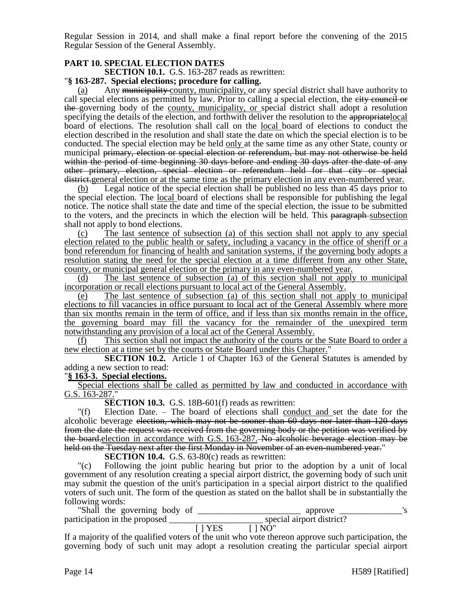Regular Session in 2014, and shall make a final report before the convening of the 2015 Regular Session of the General Assembly.

### **PART 10. SPECIAL ELECTION DATES**

**SECTION 10.1.** G.S. 163-287 reads as rewritten:

### "**§ 163-287. Special elections; procedure for calling.**

Any municipality county, municipality, or any special district shall have authority to call special elections as permitted by law. Prior to calling a special election, the eity council or the governing body of the county, municipality, or special district shall adopt a resolution specifying the details of the election, and forthwith deliver the resolution to the appropriate local board of elections. The resolution shall call on the <u>local board</u> of elections to conduct the election described in the resolution and shall state the date on which the special election is to be conducted. The special election may be held only at the same time as any other State, county or municipal primary, election or special election or referendum, but may not otherwise be held within the period of time beginning 30 days before and ending 30 days after the date of any other primary, election, special election or referendum held for that city or special district.general election or at the same time as the primary election in any even-numbered year.

(b) Legal notice of the special election shall be published no less than 45 days prior to the special election. The local board of elections shall be responsible for publishing the legal notice. The notice shall state the date and time of the special election, the issue to be submitted to the voters, and the precincts in which the election will be held. This paragraph-subsection shall not apply to bond elections.

(c) The last sentence of subsection (a) of this section shall not apply to any special election related to the public health or safety, including a vacancy in the office of sheriff or a bond referendum for financing of health and sanitation systems, if the governing body adopts a resolution stating the need for the special election at a time different from any other State, county, or municipal general election or the primary in any even-numbered year.

(d) The last sentence of subsection (a) of this section shall not apply to municipal incorporation or recall elections pursuant to local act of the General Assembly.

(e) The last sentence of subsection (a) of this section shall not apply to municipal elections to fill vacancies in office pursuant to local act of the General Assembly where more than six months remain in the term of office, and if less than six months remain in the office, the governing board may fill the vacancy for the remainder of the unexpired term notwithstanding any provision of a local act of the General Assembly.

(f) This section shall not impact the authority of the courts or the State Board to order a new election at a time set by the courts or State Board under this Chapter."

**SECTION 10.2.** Article 1 of Chapter 163 of the General Statutes is amended by adding a new section to read:

#### "**§ 163-3. Special elections.**

Special elections shall be called as permitted by law and conducted in accordance with G.S. 163-287."

**SECTION 10.3.** G.S. 18B-601(f) reads as rewritten:

"(f) Election Date. – The board of elections shall conduct and set the date for the alcoholic beverage election, which may not be sooner than 60 days nor later than 120 days from the date the request was received from the governing body or the petition was verified by the board.election in accordance with G.S. 163-287. No alcoholic beverage election may be held on the Tuesday next after the first Monday in November of an even-numbered year."

**SECTION 10.4.** G.S. 63-80(c) reads as rewritten:

"(c) Following the joint public hearing but prior to the adoption by a unit of local government of any resolution creating a special airport district, the governing body of such unit may submit the question of the unit's participation in a special airport district to the qualified voters of such unit. The form of the question as stated on the ballot shall be in substantially the following words:

"Shall the governing body of \_\_\_\_\_\_\_\_\_\_\_\_\_\_\_\_\_\_\_\_\_\_\_ approve \_\_\_\_\_\_\_\_\_\_\_\_\_\_'s participation in the proposed \_\_\_\_\_\_\_\_\_\_\_\_\_\_\_\_\_\_\_\_\_ special airport district?  $[ ] YES ] N\overline{O}$ "

If a majority of the qualified voters of the unit who vote thereon approve such participation, the governing body of such unit may adopt a resolution creating the particular special airport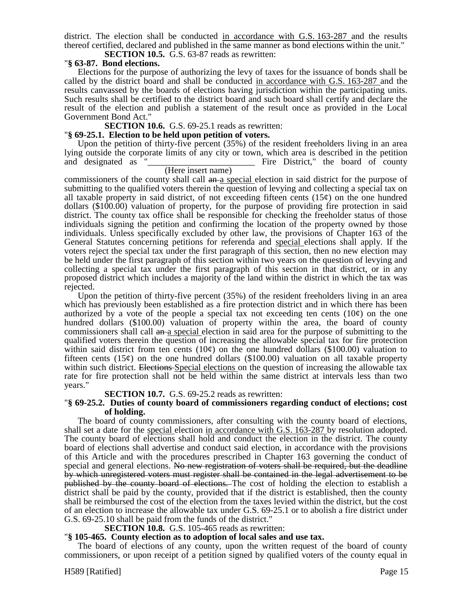district. The election shall be conducted in accordance with G.S. 163-287 and the results thereof certified, declared and published in the same manner as bond elections within the unit."

**SECTION 10.5.** G.S. 63-87 reads as rewritten:

### "**§ 63-87. Bond elections.**

Elections for the purpose of authorizing the levy of taxes for the issuance of bonds shall be called by the district board and shall be conducted in accordance with G.S. 163-287 and the results canvassed by the boards of elections having jurisdiction within the participating units. Such results shall be certified to the district board and such board shall certify and declare the result of the election and publish a statement of the result once as provided in the Local Government Bond Act."

#### **SECTION 10.6.** G.S. 69-25.1 reads as rewritten:

#### "**§ 69-25.1. Election to be held upon petition of voters.**

Upon the petition of thirty-five percent (35%) of the resident freeholders living in an area lying outside the corporate limits of any city or town, which area is described in the petition Fire District," the board of county

#### (Here insert name)

commissioners of the county shall call an a special election in said district for the purpose of submitting to the qualified voters therein the question of levying and collecting a special tax on all taxable property in said district, of not exceeding fifteen cents  $(15¢)$  on the one hundred dollars (\$100.00) valuation of property, for the purpose of providing fire protection in said district. The county tax office shall be responsible for checking the freeholder status of those individuals signing the petition and confirming the location of the property owned by those individuals. Unless specifically excluded by other law, the provisions of Chapter 163 of the General Statutes concerning petitions for referenda and special elections shall apply. If the voters reject the special tax under the first paragraph of this section, then no new election may be held under the first paragraph of this section within two years on the question of levying and collecting a special tax under the first paragraph of this section in that district, or in any proposed district which includes a majority of the land within the district in which the tax was rejected.

Upon the petition of thirty-five percent (35%) of the resident freeholders living in an area which has previously been established as a fire protection district and in which there has been authorized by a vote of the people a special tax not exceeding ten cents  $(10¢)$  on the one hundred dollars (\$100.00) valuation of property within the area, the board of county commissioners shall call an a special election in said area for the purpose of submitting to the qualified voters therein the question of increasing the allowable special tax for fire protection within said district from ten cents  $(10¢)$  on the one hundred dollars (\$100.00) valuation to fifteen cents  $(15¢)$  on the one hundred dollars  $(\$100.00)$  valuation on all taxable property within such district. Elections Special elections on the question of increasing the allowable tax rate for fire protection shall not be held within the same district at intervals less than two years."

#### **SECTION 10.7.** G.S. 69-25.2 reads as rewritten:

#### "**§ 69-25.2. Duties of county board of commissioners regarding conduct of elections; cost of holding.**

The board of county commissioners, after consulting with the county board of elections, shall set a date for the special election in accordance with G.S. 163-287 by resolution adopted. The county board of elections shall hold and conduct the election in the district. The county board of elections shall advertise and conduct said election, in accordance with the provisions of this Article and with the procedures prescribed in Chapter 163 governing the conduct of special and general elections. No new registration of voters shall be required, but the deadline by which unregistered voters must register shall be contained in the legal advertisement to be published by the county board of elections. The cost of holding the election to establish a district shall be paid by the county, provided that if the district is established, then the county shall be reimbursed the cost of the election from the taxes levied within the district, but the cost of an election to increase the allowable tax under G.S. 69-25.1 or to abolish a fire district under G.S. 69-25.10 shall be paid from the funds of the district."

### **SECTION 10.8.** G.S. 105-465 reads as rewritten:

#### "**§ 105-465. County election as to adoption of local sales and use tax.**

The board of elections of any county, upon the written request of the board of county commissioners, or upon receipt of a petition signed by qualified voters of the county equal in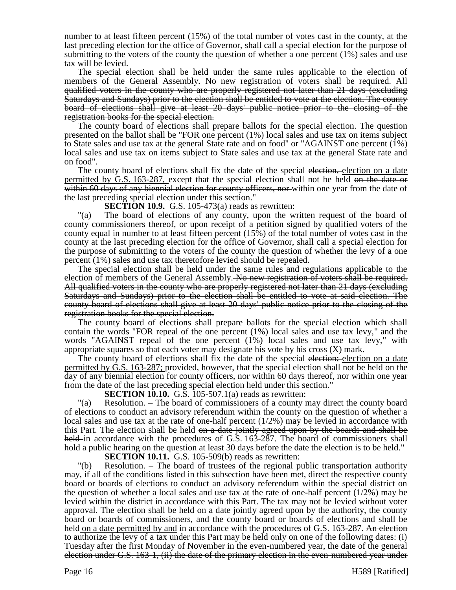number to at least fifteen percent (15%) of the total number of votes cast in the county, at the last preceding election for the office of Governor, shall call a special election for the purpose of submitting to the voters of the county the question of whether a one percent (1%) sales and use tax will be levied.

The special election shall be held under the same rules applicable to the election of members of the General Assembly. No new registration of voters shall be required. All qualified voters in the county who are properly registered not later than 21 days (excluding Saturdays and Sundays) prior to the election shall be entitled to vote at the election. The county board of elections shall give at least 20 days' public notice prior to the closing of the registration books for the special election.

The county board of elections shall prepare ballots for the special election. The question presented on the ballot shall be "FOR one percent (1%) local sales and use tax on items subject to State sales and use tax at the general State rate and on food" or "AGAINST one percent (1%) local sales and use tax on items subject to State sales and use tax at the general State rate and on food".

The county board of elections shall fix the date of the special election, election on a date permitted by G.S. 163-287, except that the special election shall not be held on the date or within 60 days of any biennial election for county officers, nor within one year from the date of the last preceding special election under this section."

**SECTION 10.9.** G.S. 105-473(a) reads as rewritten:

"(a) The board of elections of any county, upon the written request of the board of county commissioners thereof, or upon receipt of a petition signed by qualified voters of the county equal in number to at least fifteen percent (15%) of the total number of votes cast in the county at the last preceding election for the office of Governor, shall call a special election for the purpose of submitting to the voters of the county the question of whether the levy of a one percent (1%) sales and use tax theretofore levied should be repealed.

The special election shall be held under the same rules and regulations applicable to the election of members of the General Assembly. No new registration of voters shall be required. All qualified voters in the county who are properly registered not later than 21 days (excluding Saturdays and Sundays) prior to the election shall be entitled to vote at said election. The county board of elections shall give at least 20 days' public notice prior to the closing of the registration books for the special election.

The county board of elections shall prepare ballots for the special election which shall contain the words "FOR repeal of the one percent (1%) local sales and use tax levy," and the words "AGAINST repeal of the one percent (1%) local sales and use tax levy," with appropriate squares so that each voter may designate his vote by his cross  $(X)$  mark.

The county board of elections shall fix the date of the special election; election on a date permitted by G.S. 163-287; provided, however, that the special election shall not be held on the day of any biennial election for county officers, nor within 60 days thereof, nor within one year from the date of the last preceding special election held under this section."

**SECTION 10.10.** G.S. 105-507.1(a) reads as rewritten:

"(a) Resolution. – The board of commissioners of a county may direct the county board of elections to conduct an advisory referendum within the county on the question of whether a local sales and use tax at the rate of one-half percent (1/2%) may be levied in accordance with this Part. The election shall be held on a date jointly agreed upon by the boards and shall be held in accordance with the procedures of G.S. 163-287. The board of commissioners shall hold a public hearing on the question at least 30 days before the date the election is to be held."

**SECTION 10.11.** G.S. 105-509(b) reads as rewritten:

"(b) Resolution. – The board of trustees of the regional public transportation authority may, if all of the conditions listed in this subsection have been met, direct the respective county board or boards of elections to conduct an advisory referendum within the special district on the question of whether a local sales and use tax at the rate of one-half percent  $(1/2%)$  may be levied within the district in accordance with this Part. The tax may not be levied without voter approval. The election shall be held on a date jointly agreed upon by the authority, the county board or boards of commissioners, and the county board or boards of elections and shall be held <u>on a date permitted by and</u> in accordance with the procedures of G.S. 163-287. An election to authorize the levy of a tax under this Part may be held only on one of the following dates: (i) Tuesday after the first Monday of November in the even-numbered year, the date of the general election under G.S. 163-1, (ii) the date of the primary election in the even-numbered year under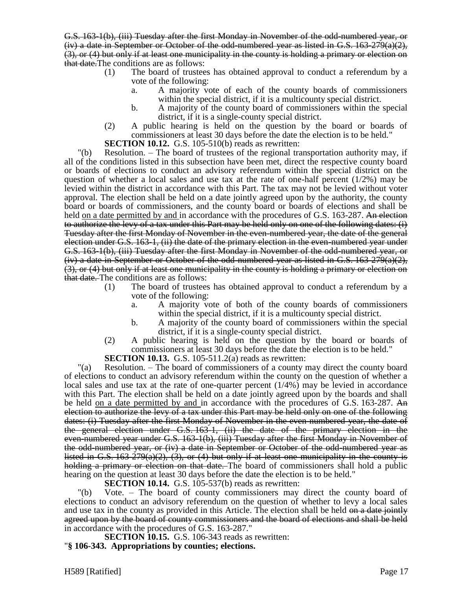G.S. 163-1(b), (iii) Tuesday after the first Monday in November of the odd-numbered year, or  $(iv)$  a date in September or October of the odd-numbered year as listed in G.S. 163-279(a)(2), (3), or (4) but only if at least one municipality in the county is holding a primary or election on that date.The conditions are as follows:

- (1) The board of trustees has obtained approval to conduct a referendum by a vote of the following:
	- a. A majority vote of each of the county boards of commissioners within the special district, if it is a multicounty special district.
	- b. A majority of the county board of commissioners within the special district, if it is a single-county special district.
- (2) A public hearing is held on the question by the board or boards of commissioners at least 30 days before the date the election is to be held."

**SECTION 10.12.** G.S. 105-510(b) reads as rewritten:

"(b) Resolution. – The board of trustees of the regional transportation authority may, if all of the conditions listed in this subsection have been met, direct the respective county board or boards of elections to conduct an advisory referendum within the special district on the question of whether a local sales and use tax at the rate of one-half percent (1/2%) may be levied within the district in accordance with this Part. The tax may not be levied without voter approval. The election shall be held on a date jointly agreed upon by the authority, the county board or boards of commissioners, and the county board or boards of elections and shall be held on a date permitted by and in accordance with the procedures of G.S. 163-287. An election to authorize the levy of a tax under this Part may be held only on one of the following dates: (i) Tuesday after the first Monday of November in the even-numbered year, the date of the general election under G.S. 163-1, (ii) the date of the primary election in the even-numbered year under G.S. 163-1(b), (iii) Tuesday after the first Monday in November of the odd-numbered year, or  $(iv)$  a date in September or October of the odd-numbered year as listed in G.S. 163-279(a)(2), (3), or (4) but only if at least one municipality in the county is holding a primary or election on that date. The conditions are as follows:

- (1) The board of trustees has obtained approval to conduct a referendum by a vote of the following:
	- a. A majority vote of both of the county boards of commissioners within the special district, if it is a multicounty special district.
	- b. A majority of the county board of commissioners within the special district, if it is a single-county special district.
- (2) A public hearing is held on the question by the board or boards of commissioners at least 30 days before the date the election is to be held."

**SECTION 10.13.** G.S. 105-511.2(a) reads as rewritten:

"(a) Resolution. – The board of commissioners of a county may direct the county board of elections to conduct an advisory referendum within the county on the question of whether a local sales and use tax at the rate of one-quarter percent (1/4%) may be levied in accordance with this Part. The election shall be held on a date jointly agreed upon by the boards and shall be held on a date permitted by and in accordance with the procedures of G.S. 163-287. An election to authorize the levy of a tax under this Part may be held only on one of the following dates: (i) Tuesday after the first Monday of November in the even-numbered year, the date of the general election under G.S. 163-1, (ii) the date of the primary election in the even-numbered year under G.S. 163-1(b), (iii) Tuesday after the first Monday in November of the odd-numbered year, or (iv) a date in September or October of the odd-numbered year as listed in G.S.  $163-279(a)(2)$ ,  $(3)$ , or  $(4)$  but only if at least one municipality in the county is holding a primary or election on that date. The board of commissioners shall hold a public hearing on the question at least 30 days before the date the election is to be held."

**SECTION 10.14.** G.S. 105-537(b) reads as rewritten:

"(b) Vote. – The board of county commissioners may direct the county board of elections to conduct an advisory referendum on the question of whether to levy a local sales and use tax in the county as provided in this Article. The election shall be held on a date jointly agreed upon by the board of county commissioners and the board of elections and shall be held in accordance with the procedures of G.S. 163-287."

**SECTION 10.15.** G.S. 106-343 reads as rewritten: "**§ 106-343. Appropriations by counties; elections.**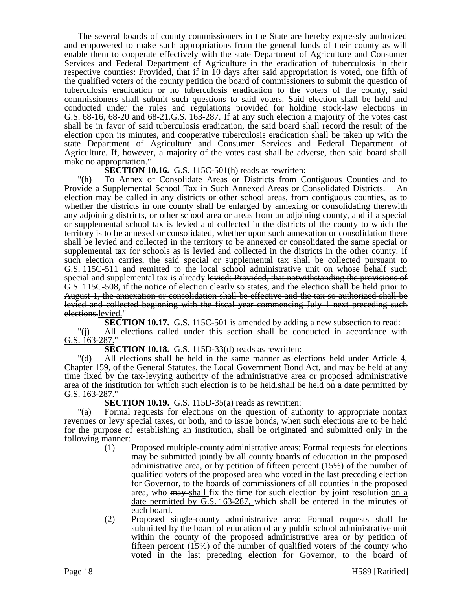The several boards of county commissioners in the State are hereby expressly authorized and empowered to make such appropriations from the general funds of their county as will enable them to cooperate effectively with the state Department of Agriculture and Consumer Services and Federal Department of Agriculture in the eradication of tuberculosis in their respective counties: Provided, that if in 10 days after said appropriation is voted, one fifth of the qualified voters of the county petition the board of commissioners to submit the question of tuberculosis eradication or no tuberculosis eradication to the voters of the county, said commissioners shall submit such questions to said voters. Said election shall be held and conducted under the rules and regulations provided for holding stock-law elections in G.S. 68-16, 68-20 and 68-21.G.S. 163-287. If at any such election a majority of the votes cast shall be in favor of said tuberculosis eradication, the said board shall record the result of the election upon its minutes, and cooperative tuberculosis eradication shall be taken up with the state Department of Agriculture and Consumer Services and Federal Department of Agriculture. If, however, a majority of the votes cast shall be adverse, then said board shall make no appropriation."

**SECTION 10.16.** G.S. 115C-501(h) reads as rewritten:

"(h) To Annex or Consolidate Areas or Districts from Contiguous Counties and to Provide a Supplemental School Tax in Such Annexed Areas or Consolidated Districts. – An election may be called in any districts or other school areas, from contiguous counties, as to whether the districts in one county shall be enlarged by annexing or consolidating therewith any adjoining districts, or other school area or areas from an adjoining county, and if a special or supplemental school tax is levied and collected in the districts of the county to which the territory is to be annexed or consolidated, whether upon such annexation or consolidation there shall be levied and collected in the territory to be annexed or consolidated the same special or supplemental tax for schools as is levied and collected in the districts in the other county. If such election carries, the said special or supplemental tax shall be collected pursuant to G.S. 115C-511 and remitted to the local school administrative unit on whose behalf such special and supplemental tax is already levied: Provided, that not with standing the provisions of G.S. 115C-508, if the notice of election clearly so states, and the election shall be held prior to August 1, the annexation or consolidation shall be effective and the tax so authorized shall be levied and collected beginning with the fiscal year commencing July 1 next preceding such elections.levied."

**SECTION 10.17.** G.S. 115C-501 is amended by adding a new subsection to read: "(j) All elections called under this section shall be conducted in accordance with G.S. 163-287."

**SECTION 10.18.** G.S. 115D-33(d) reads as rewritten:

"(d) All elections shall be held in the same manner as elections held under Article 4, Chapter 159, of the General Statutes, the Local Government Bond Act, and may be held at any time fixed by the tax-levying authority of the administrative area or proposed administrative area of the institution for which such election is to be held, shall be held on a date permitted by G.S. 163-287."

**SECTION 10.19.** G.S. 115D-35(a) reads as rewritten:

"(a) Formal requests for elections on the question of authority to appropriate nontax revenues or levy special taxes, or both, and to issue bonds, when such elections are to be held for the purpose of establishing an institution, shall be originated and submitted only in the following manner:

- (1) Proposed multiple-county administrative areas: Formal requests for elections may be submitted jointly by all county boards of education in the proposed administrative area, or by petition of fifteen percent (15%) of the number of qualified voters of the proposed area who voted in the last preceding election for Governor, to the boards of commissioners of all counties in the proposed area, who may shall fix the time for such election by joint resolution on a date permitted by G.S. 163-287, which shall be entered in the minutes of each board.
- (2) Proposed single-county administrative area: Formal requests shall be submitted by the board of education of any public school administrative unit within the county of the proposed administrative area or by petition of fifteen percent (15%) of the number of qualified voters of the county who voted in the last preceding election for Governor, to the board of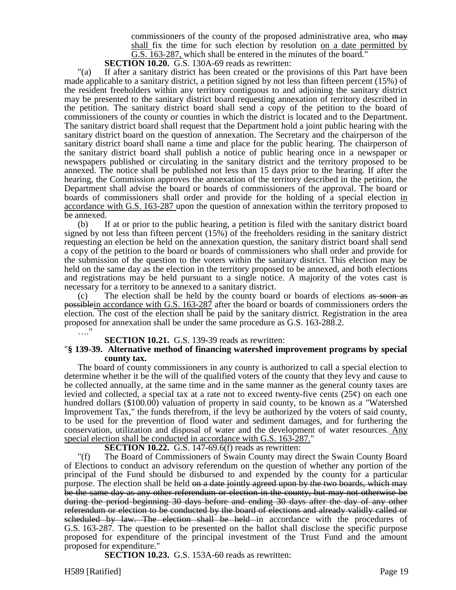commissioners of the county of the proposed administrative area, who may shall fix the time for such election by resolution on a date permitted by G.S. 163-287, which shall be entered in the minutes of the board."

**SECTION 10.20.** G.S. 130A-69 reads as rewritten:

"(a) If after a sanitary district has been created or the provisions of this Part have been made applicable to a sanitary district, a petition signed by not less than fifteen percent (15%) of the resident freeholders within any territory contiguous to and adjoining the sanitary district may be presented to the sanitary district board requesting annexation of territory described in the petition. The sanitary district board shall send a copy of the petition to the board of commissioners of the county or counties in which the district is located and to the Department. The sanitary district board shall request that the Department hold a joint public hearing with the sanitary district board on the question of annexation. The Secretary and the chairperson of the sanitary district board shall name a time and place for the public hearing. The chairperson of the sanitary district board shall publish a notice of public hearing once in a newspaper or newspapers published or circulating in the sanitary district and the territory proposed to be annexed. The notice shall be published not less than 15 days prior to the hearing. If after the hearing, the Commission approves the annexation of the territory described in the petition, the Department shall advise the board or boards of commissioners of the approval. The board or boards of commissioners shall order and provide for the holding of a special election in accordance with G.S. 163-287 upon the question of annexation within the territory proposed to be annexed.

(b) If at or prior to the public hearing, a petition is filed with the sanitary district board signed by not less than fifteen percent (15%) of the freeholders residing in the sanitary district requesting an election be held on the annexation question, the sanitary district board shall send a copy of the petition to the board or boards of commissioners who shall order and provide for the submission of the question to the voters within the sanitary district. This election may be held on the same day as the election in the territory proposed to be annexed, and both elections and registrations may be held pursuant to a single notice. A majority of the votes cast is necessary for a territory to be annexed to a sanitary district.

(c) The election shall be held by the county board or boards of elections as soon as possiblein accordance with G.S. 163-287 after the board or boards of commissioners orders the election. The cost of the election shall be paid by the sanitary district. Registration in the area proposed for annexation shall be under the same procedure as G.S. 163-288.2.

…."

#### **SECTION 10.21.** G.S. 139-39 reads as rewritten:

#### "**§ 139-39. Alternative method of financing watershed improvement programs by special county tax.**

The board of county commissioners in any county is authorized to call a special election to determine whether it be the will of the qualified voters of the county that they levy and cause to be collected annually, at the same time and in the same manner as the general county taxes are levied and collected, a special tax at a rate not to exceed twenty-five cents  $(25¢)$  on each one hundred dollars (\$100.00) valuation of property in said county, to be known as a "Watershed Improvement Tax," the funds therefrom, if the levy be authorized by the voters of said county, to be used for the prevention of flood water and sediment damages, and for furthering the conservation, utilization and disposal of water and the development of water resources. Any special election shall be conducted in accordance with G.S. 163-287."

#### **SECTION 10.22.** G.S. 147-69.6(f) reads as rewritten:

"(f) The Board of Commissioners of Swain County may direct the Swain County Board of Elections to conduct an advisory referendum on the question of whether any portion of the principal of the Fund should be disbursed to and expended by the county for a particular purpose. The election shall be held on a date jointly agreed upon by the two boards, which may be the same day as any other referendum or election in the county, but may not otherwise be during the period beginning 30 days before and ending 30 days after the day of any other referendum or election to be conducted by the board of elections and already validly called or scheduled by law. The election shall be held in accordance with the procedures of G.S. 163-287. The question to be presented on the ballot shall disclose the specific purpose proposed for expenditure of the principal investment of the Trust Fund and the amount proposed for expenditure."

**SECTION 10.23.** G.S. 153A-60 reads as rewritten: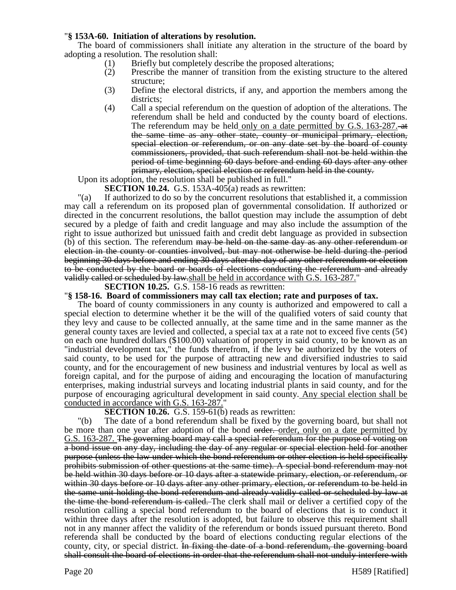### "**§ 153A-60. Initiation of alterations by resolution.**

The board of commissioners shall initiate any alteration in the structure of the board by adopting a resolution. The resolution shall:

- (1) Briefly but completely describe the proposed alterations;
- (2) Prescribe the manner of transition from the existing structure to the altered structure;
- (3) Define the electoral districts, if any, and apportion the members among the districts;
- (4) Call a special referendum on the question of adoption of the alterations. The referendum shall be held and conducted by the county board of elections. The referendum may be held only on a date permitted by G.S. 163-287. the same time as any other state, county or municipal primary, election, special election or referendum, or on any date set by the board of county commissioners, provided, that such referendum shall not be held within the period of time beginning 60 days before and ending 60 days after any other primary, election, special election or referendum held in the county.

Upon its adoption, the resolution shall be published in full."

**SECTION 10.24.** G.S. 153A-405(a) reads as rewritten:

"(a) If authorized to do so by the concurrent resolutions that established it, a commission may call a referendum on its proposed plan of governmental consolidation. If authorized or directed in the concurrent resolutions, the ballot question may include the assumption of debt secured by a pledge of faith and credit language and may also include the assumption of the right to issue authorized but unissued faith and credit debt language as provided in subsection (b) of this section. The referendum may be held on the same day as any other referendum or election in the county or counties involved, but may not otherwise be held during the period beginning 30 days before and ending 30 days after the day of any other referendum or election to be conducted by the board or boards of elections conducting the referendum and already validly called or scheduled by law.shall be held in accordance with G.S. 163-287."

# **SECTION 10.25.** G.S. 158-16 reads as rewritten:

"**§ 158-16. Board of commissioners may call tax election; rate and purposes of tax.**

The board of county commissioners in any county is authorized and empowered to call a special election to determine whether it be the will of the qualified voters of said county that they levy and cause to be collected annually, at the same time and in the same manner as the general county taxes are levied and collected, a special tax at a rate not to exceed five cents ( $5¢$ ) on each one hundred dollars (\$100.00) valuation of property in said county, to be known as an "industrial development tax," the funds therefrom, if the levy be authorized by the voters of said county, to be used for the purpose of attracting new and diversified industries to said county, and for the encouragement of new business and industrial ventures by local as well as foreign capital, and for the purpose of aiding and encouraging the location of manufacturing enterprises, making industrial surveys and locating industrial plants in said county, and for the purpose of encouraging agricultural development in said county. Any special election shall be conducted in accordance with G.S. 163-287."

### **SECTION 10.26.** G.S. 159-61(b) reads as rewritten:

"(b) The date of a bond referendum shall be fixed by the governing board, but shall not be more than one year after adoption of the bond order, order, only on a date permitted by G.S. 163-287. The governing board may call a special referendum for the purpose of voting on a bond issue on any day, including the day of any regular or special election held for another purpose (unless the law under which the bond referendum or other election is held specifically prohibits submission of other questions at the same time). A special bond referendum may not be held within 30 days before or 10 days after a statewide primary, election, or referendum, or within 30 days before or 10 days after any other primary, election, or referendum to be held in the same unit holding the bond referendum and already validly called or scheduled by law at the time the bond referendum is called. The clerk shall mail or deliver a certified copy of the resolution calling a special bond referendum to the board of elections that is to conduct it within three days after the resolution is adopted, but failure to observe this requirement shall not in any manner affect the validity of the referendum or bonds issued pursuant thereto. Bond referenda shall be conducted by the board of elections conducting regular elections of the county, city, or special district. In fixing the date of a bond referendum, the governing board shall consult the board of elections in order that the referendum shall not unduly interfere with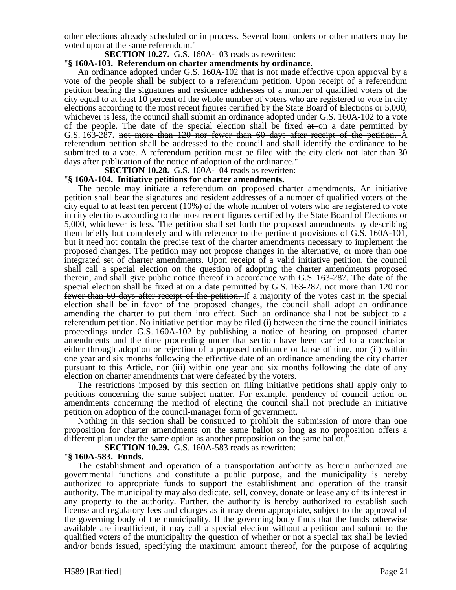other elections already scheduled or in process. Several bond orders or other matters may be voted upon at the same referendum."

#### **SECTION 10.27.** G.S. 160A-103 reads as rewritten:

### "**§ 160A-103. Referendum on charter amendments by ordinance.**

An ordinance adopted under G.S. 160A-102 that is not made effective upon approval by a vote of the people shall be subject to a referendum petition. Upon receipt of a referendum petition bearing the signatures and residence addresses of a number of qualified voters of the city equal to at least 10 percent of the whole number of voters who are registered to vote in city elections according to the most recent figures certified by the State Board of Elections or 5,000, whichever is less, the council shall submit an ordinance adopted under G.S. 160A-102 to a vote of the people. The date of the special election shall be fixed  $at$  on a date permitted by G.S. 163-287. not more than 120 nor fewer than 60 days after receipt of the petition. A referendum petition shall be addressed to the council and shall identify the ordinance to be submitted to a vote. A referendum petition must be filed with the city clerk not later than 30 days after publication of the notice of adoption of the ordinance."

**SECTION 10.28.** G.S. 160A-104 reads as rewritten:

#### "**§ 160A-104. Initiative petitions for charter amendments.**

The people may initiate a referendum on proposed charter amendments. An initiative petition shall bear the signatures and resident addresses of a number of qualified voters of the city equal to at least ten percent (10%) of the whole number of voters who are registered to vote in city elections according to the most recent figures certified by the State Board of Elections or 5,000, whichever is less. The petition shall set forth the proposed amendments by describing them briefly but completely and with reference to the pertinent provisions of G.S. 160A-101, but it need not contain the precise text of the charter amendments necessary to implement the proposed changes. The petition may not propose changes in the alternative, or more than one integrated set of charter amendments. Upon receipt of a valid initiative petition, the council shall call a special election on the question of adopting the charter amendments proposed therein, and shall give public notice thereof in accordance with G.S. 163-287. The date of the special election shall be fixed  $at$ -on a date permitted by G.S. 163-287. not more than 120 nor fewer than 60 days after receipt of the petition. If a majority of the votes cast in the special election shall be in favor of the proposed changes, the council shall adopt an ordinance amending the charter to put them into effect. Such an ordinance shall not be subject to a referendum petition. No initiative petition may be filed (i) between the time the council initiates proceedings under G.S. 160A-102 by publishing a notice of hearing on proposed charter amendments and the time proceeding under that section have been carried to a conclusion either through adoption or rejection of a proposed ordinance or lapse of time, nor (ii) within one year and six months following the effective date of an ordinance amending the city charter pursuant to this Article, nor (iii) within one year and six months following the date of any election on charter amendments that were defeated by the voters.

The restrictions imposed by this section on filing initiative petitions shall apply only to petitions concerning the same subject matter. For example, pendency of council action on amendments concerning the method of electing the council shall not preclude an initiative petition on adoption of the council-manager form of government.

Nothing in this section shall be construed to prohibit the submission of more than one proposition for charter amendments on the same ballot so long as no proposition offers a different plan under the same option as another proposition on the same ballot."

**SECTION 10.29.** G.S. 160A-583 reads as rewritten:

#### "**§ 160A-583. Funds.**

The establishment and operation of a transportation authority as herein authorized are governmental functions and constitute a public purpose, and the municipality is hereby authorized to appropriate funds to support the establishment and operation of the transit authority. The municipality may also dedicate, sell, convey, donate or lease any of its interest in any property to the authority. Further, the authority is hereby authorized to establish such license and regulatory fees and charges as it may deem appropriate, subject to the approval of the governing body of the municipality. If the governing body finds that the funds otherwise available are insufficient, it may call a special election without a petition and submit to the qualified voters of the municipality the question of whether or not a special tax shall be levied and/or bonds issued, specifying the maximum amount thereof, for the purpose of acquiring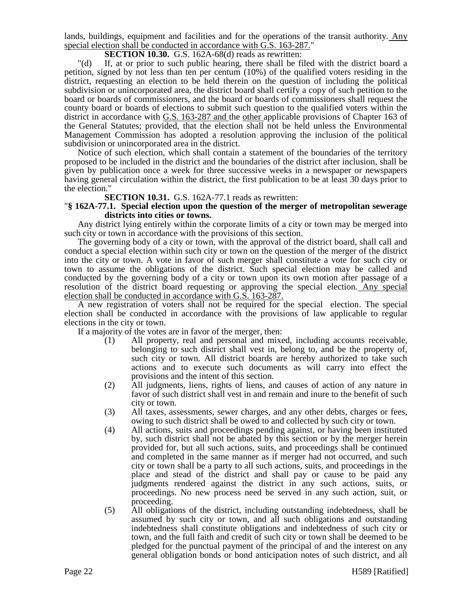lands, buildings, equipment and facilities and for the operations of the transit authority. Any special election shall be conducted in accordance with G.S. 163-287."

### **SECTION 10.30.** G.S. 162A-68(d) reads as rewritten:

"(d) If, at or prior to such public hearing, there shall be filed with the district board a petition, signed by not less than ten per centum (10%) of the qualified voters residing in the district, requesting an election to be held therein on the question of including the political subdivision or unincorporated area, the district board shall certify a copy of such petition to the board or boards of commissioners, and the board or boards of commissioners shall request the county board or boards of elections to submit such question to the qualified voters within the district in accordance with G.S. 163-287 and the other applicable provisions of Chapter 163 of the General Statutes; provided, that the election shall not be held unless the Environmental Management Commission has adopted a resolution approving the inclusion of the political subdivision or unincorporated area in the district.

Notice of such election, which shall contain a statement of the boundaries of the territory proposed to be included in the district and the boundaries of the district after inclusion, shall be given by publication once a week for three successive weeks in a newspaper or newspapers having general circulation within the district, the first publication to be at least 30 days prior to the election."

**SECTION 10.31.** G.S. 162A-77.1 reads as rewritten:

#### "**§ 162A-77.1. Special election upon the question of the merger of metropolitan sewerage districts into cities or towns.**

Any district lying entirely within the corporate limits of a city or town may be merged into such city or town in accordance with the provisions of this section.

The governing body of a city or town, with the approval of the district board, shall call and conduct a special election within such city or town on the question of the merger of the district into the city or town. A vote in favor of such merger shall constitute a vote for such city or town to assume the obligations of the district. Such special election may be called and conducted by the governing body of a city or town upon its own motion after passage of a resolution of the district board requesting or approving the special election. Any special election shall be conducted in accordance with G.S. 163-287.

A new registration of voters shall not be required for the special election. The special election shall be conducted in accordance with the provisions of law applicable to regular elections in the city or town.

If a majority of the votes are in favor of the merger, then:

- (1) All property, real and personal and mixed, including accounts receivable, belonging to such district shall vest in, belong to, and be the property of, such city or town. All district boards are hereby authorized to take such actions and to execute such documents as will carry into effect the provisions and the intent of this section.
- (2) All judgments, liens, rights of liens, and causes of action of any nature in favor of such district shall vest in and remain and inure to the benefit of such city or town.
- (3) All taxes, assessments, sewer charges, and any other debts, charges or fees, owing to such district shall be owed to and collected by such city or town.
- (4) All actions, suits and proceedings pending against, or having been instituted by, such district shall not be abated by this section or by the merger herein provided for, but all such actions, suits, and proceedings shall be continued and completed in the same manner as if merger had not occurred, and such city or town shall be a party to all such actions, suits, and proceedings in the place and stead of the district and shall pay or cause to be paid any judgments rendered against the district in any such actions, suits, or proceedings. No new process need be served in any such action, suit, or proceeding.
- (5) All obligations of the district, including outstanding indebtedness, shall be assumed by such city or town, and all such obligations and outstanding indebtedness shall constitute obligations and indebtedness of such city or town, and the full faith and credit of such city or town shall be deemed to be pledged for the punctual payment of the principal of and the interest on any general obligation bonds or bond anticipation notes of such district, and all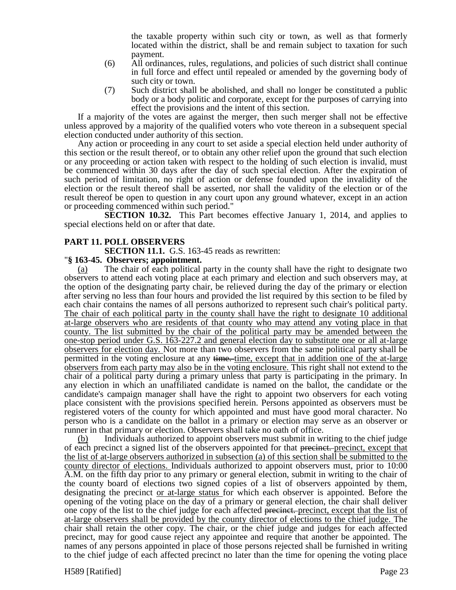the taxable property within such city or town, as well as that formerly located within the district, shall be and remain subject to taxation for such payment.

- (6) All ordinances, rules, regulations, and policies of such district shall continue in full force and effect until repealed or amended by the governing body of such city or town.
- (7) Such district shall be abolished, and shall no longer be constituted a public body or a body politic and corporate, except for the purposes of carrying into effect the provisions and the intent of this section.

If a majority of the votes are against the merger, then such merger shall not be effective unless approved by a majority of the qualified voters who vote thereon in a subsequent special election conducted under authority of this section.

Any action or proceeding in any court to set aside a special election held under authority of this section or the result thereof, or to obtain any other relief upon the ground that such election or any proceeding or action taken with respect to the holding of such election is invalid, must be commenced within 30 days after the day of such special election. After the expiration of such period of limitation, no right of action or defense founded upon the invalidity of the election or the result thereof shall be asserted, nor shall the validity of the election or of the result thereof be open to question in any court upon any ground whatever, except in an action or proceeding commenced within such period."

**SECTION 10.32.** This Part becomes effective January 1, 2014, and applies to special elections held on or after that date.

### **PART 11. POLL OBSERVERS**

**SECTION 11.1.** G.S. 163-45 reads as rewritten:

#### "**§ 163-45. Observers; appointment.**

(a) The chair of each political party in the county shall have the right to designate two observers to attend each voting place at each primary and election and such observers may, at the option of the designating party chair, be relieved during the day of the primary or election after serving no less than four hours and provided the list required by this section to be filed by each chair contains the names of all persons authorized to represent such chair's political party. The chair of each political party in the county shall have the right to designate 10 additional at-large observers who are residents of that county who may attend any voting place in that county. The list submitted by the chair of the political party may be amended between the one-stop period under G.S. 163-227.2 and general election day to substitute one or all at-large observers for election day. Not more than two observers from the same political party shall be permitted in the voting enclosure at any time. time, except that in addition one of the at-large observers from each party may also be in the voting enclosure. This right shall not extend to the chair of a political party during a primary unless that party is participating in the primary. In any election in which an unaffiliated candidate is named on the ballot, the candidate or the candidate's campaign manager shall have the right to appoint two observers for each voting place consistent with the provisions specified herein. Persons appointed as observers must be registered voters of the county for which appointed and must have good moral character. No person who is a candidate on the ballot in a primary or election may serve as an observer or runner in that primary or election. Observers shall take no oath of office.

(b) Individuals authorized to appoint observers must submit in writing to the chief judge of each precinct a signed list of the observers appointed for that precinct. precinct, except that the list of at-large observers authorized in subsection (a) of this section shall be submitted to the county director of elections. Individuals authorized to appoint observers must, prior to 10:00 A.M. on the fifth day prior to any primary or general election, submit in writing to the chair of the county board of elections two signed copies of a list of observers appointed by them, designating the precinct or at-large status for which each observer is appointed. Before the opening of the voting place on the day of a primary or general election, the chair shall deliver one copy of the list to the chief judge for each affected precinct. precinct, except that the list of at-large observers shall be provided by the county director of elections to the chief judge. The chair shall retain the other copy. The chair, or the chief judge and judges for each affected precinct, may for good cause reject any appointee and require that another be appointed. The names of any persons appointed in place of those persons rejected shall be furnished in writing to the chief judge of each affected precinct no later than the time for opening the voting place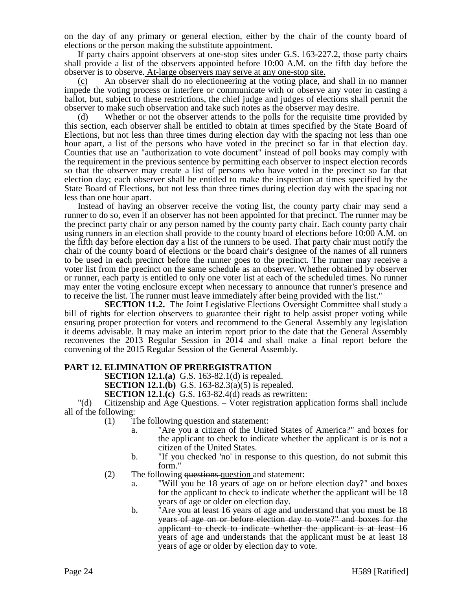on the day of any primary or general election, either by the chair of the county board of elections or the person making the substitute appointment.

If party chairs appoint observers at one-stop sites under G.S. 163-227.2, those party chairs shall provide a list of the observers appointed before 10:00 A.M. on the fifth day before the observer is to observe. At-large observers may serve at any one-stop site.

(c) An observer shall do no electioneering at the voting place, and shall in no manner impede the voting process or interfere or communicate with or observe any voter in casting a ballot, but, subject to these restrictions, the chief judge and judges of elections shall permit the observer to make such observation and take such notes as the observer may desire.

(d) Whether or not the observer attends to the polls for the requisite time provided by this section, each observer shall be entitled to obtain at times specified by the State Board of Elections, but not less than three times during election day with the spacing not less than one hour apart, a list of the persons who have voted in the precinct so far in that election day. Counties that use an "authorization to vote document" instead of poll books may comply with the requirement in the previous sentence by permitting each observer to inspect election records so that the observer may create a list of persons who have voted in the precinct so far that election day; each observer shall be entitled to make the inspection at times specified by the State Board of Elections, but not less than three times during election day with the spacing not less than one hour apart.

Instead of having an observer receive the voting list, the county party chair may send a runner to do so, even if an observer has not been appointed for that precinct. The runner may be the precinct party chair or any person named by the county party chair. Each county party chair using runners in an election shall provide to the county board of elections before 10:00 A.M. on the fifth day before election day a list of the runners to be used. That party chair must notify the chair of the county board of elections or the board chair's designee of the names of all runners to be used in each precinct before the runner goes to the precinct. The runner may receive a voter list from the precinct on the same schedule as an observer. Whether obtained by observer or runner, each party is entitled to only one voter list at each of the scheduled times. No runner may enter the voting enclosure except when necessary to announce that runner's presence and to receive the list. The runner must leave immediately after being provided with the list."

**SECTION 11.2.** The Joint Legislative Elections Oversight Committee shall study a bill of rights for election observers to guarantee their right to help assist proper voting while ensuring proper protection for voters and recommend to the General Assembly any legislation it deems advisable. It may make an interim report prior to the date that the General Assembly reconvenes the 2013 Regular Session in 2014 and shall make a final report before the convening of the 2015 Regular Session of the General Assembly.

### **PART 12. ELIMINATION OF PREREGISTRATION**

**SECTION 12.1.(a)** G.S. 163-82.1(d) is repealed.

**SECTION 12.1.(b)** G.S. 163-82.3(a)(5) is repealed.

**SECTION 12.1.(c)** G.S. 163-82.4(d) reads as rewritten:

"(d) Citizenship and Age Questions. – Voter registration application forms shall include all of the following:

- (1) The following question and statement:
	- a. "Are you a citizen of the United States of America?" and boxes for the applicant to check to indicate whether the applicant is or is not a citizen of the United States.
	- b. "If you checked 'no' in response to this question, do not submit this form."
- (2) The following questions question and statement:
	- a. "Will you be 18 years of age on or before election day?" and boxes for the applicant to check to indicate whether the applicant will be 18 years of age or older on election day.
	- b. "Are you at least 16 years of age and understand that you must be 18 years of age on or before election day to vote?" and boxes for the applicant to check to indicate whether the applicant is at least 16 years of age and understands that the applicant must be at least 18 years of age or older by election day to vote.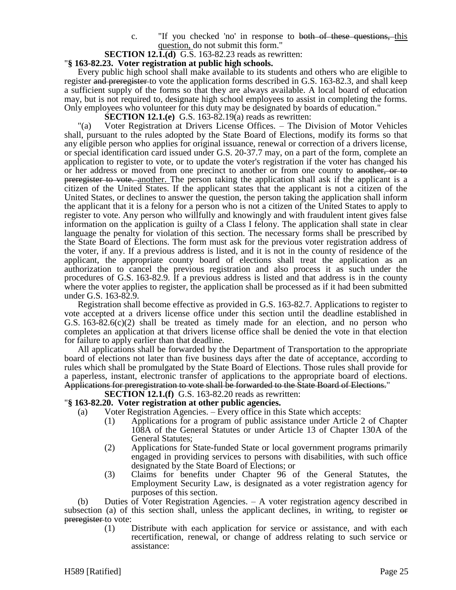c. "If you checked 'no' in response to both of these questions, this question, do not submit this form."

### **SECTION 12.1.(d)** G.S. 163-82.23 reads as rewritten:

### "**§ 163-82.23. Voter registration at public high schools.**

Every public high school shall make available to its students and others who are eligible to register and preregister to vote the application forms described in G.S. 163-82.3, and shall keep a sufficient supply of the forms so that they are always available. A local board of education may, but is not required to, designate high school employees to assist in completing the forms. Only employees who volunteer for this duty may be designated by boards of education."

**SECTION 12.1.(e)** G.S. 163-82.19(a) reads as rewritten:

"(a) Voter Registration at Drivers License Offices. – The Division of Motor Vehicles shall, pursuant to the rules adopted by the State Board of Elections, modify its forms so that any eligible person who applies for original issuance, renewal or correction of a drivers license, or special identification card issued under G.S. 20-37.7 may, on a part of the form, complete an application to register to vote, or to update the voter's registration if the voter has changed his or her address or moved from one precinct to another or from one county to another, or to preregister to vote. another. The person taking the application shall ask if the applicant is a citizen of the United States. If the applicant states that the applicant is not a citizen of the United States, or declines to answer the question, the person taking the application shall inform the applicant that it is a felony for a person who is not a citizen of the United States to apply to register to vote. Any person who willfully and knowingly and with fraudulent intent gives false information on the application is guilty of a Class I felony. The application shall state in clear language the penalty for violation of this section. The necessary forms shall be prescribed by the State Board of Elections. The form must ask for the previous voter registration address of the voter, if any. If a previous address is listed, and it is not in the county of residence of the applicant, the appropriate county board of elections shall treat the application as an authorization to cancel the previous registration and also process it as such under the procedures of G.S. 163-82.9. If a previous address is listed and that address is in the county where the voter applies to register, the application shall be processed as if it had been submitted under G.S. 163-82.9.

Registration shall become effective as provided in G.S. 163-82.7. Applications to register to vote accepted at a drivers license office under this section until the deadline established in G.S.  $163-82.6(c)(2)$  shall be treated as timely made for an election, and no person who completes an application at that drivers license office shall be denied the vote in that election for failure to apply earlier than that deadline.

All applications shall be forwarded by the Department of Transportation to the appropriate board of elections not later than five business days after the date of acceptance, according to rules which shall be promulgated by the State Board of Elections. Those rules shall provide for a paperless, instant, electronic transfer of applications to the appropriate board of elections. Applications for preregistration to vote shall be forwarded to the State Board of Elections."

**SECTION 12.1.(f)** G.S. 163-82.20 reads as rewritten:

#### "**§ 163-82.20. Voter registration at other public agencies.**

- (a) Voter Registration Agencies. Every office in this State which accepts:
	- (1) Applications for a program of public assistance under Article 2 of Chapter 108A of the General Statutes or under Article 13 of Chapter 130A of the General Statutes;
	- (2) Applications for State-funded State or local government programs primarily engaged in providing services to persons with disabilities, with such office designated by the State Board of Elections; or
	- (3) Claims for benefits under Chapter 96 of the General Statutes, the Employment Security Law, is designated as a voter registration agency for purposes of this section.

(b) Duties of Voter Registration Agencies. – A voter registration agency described in subsection (a) of this section shall, unless the applicant declines, in writing, to register or preregister to vote:

> (1) Distribute with each application for service or assistance, and with each recertification, renewal, or change of address relating to such service or assistance: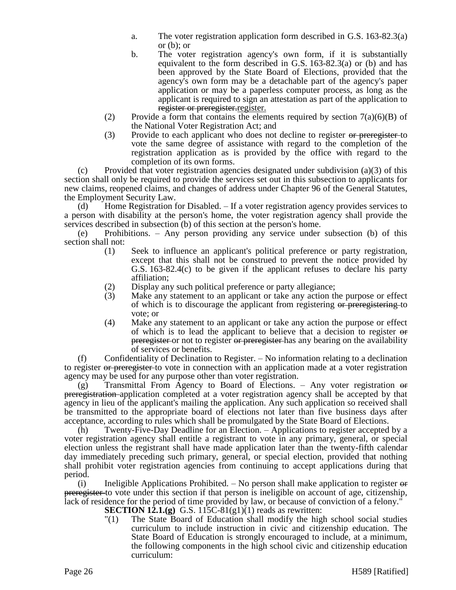- a. The voter registration application form described in G.S. 163-82.3(a) or (b); or
- b. The voter registration agency's own form, if it is substantially equivalent to the form described in G.S. 163-82.3(a) or (b) and has been approved by the State Board of Elections, provided that the agency's own form may be a detachable part of the agency's paper application or may be a paperless computer process, as long as the applicant is required to sign an attestation as part of the application to register or preregister. register.
- (2) Provide a form that contains the elements required by section  $7(a)(6)(B)$  of the National Voter Registration Act; and
- (3) Provide to each applicant who does not decline to register or preregister-to vote the same degree of assistance with regard to the completion of the registration application as is provided by the office with regard to the completion of its own forms.

(c) Provided that voter registration agencies designated under subdivision (a)(3) of this section shall only be required to provide the services set out in this subsection to applicants for new claims, reopened claims, and changes of address under Chapter 96 of the General Statutes, the Employment Security Law.

(d) Home Registration for Disabled. – If a voter registration agency provides services to a person with disability at the person's home, the voter registration agency shall provide the services described in subsection (b) of this section at the person's home.

(e) Prohibitions. – Any person providing any service under subsection (b) of this section shall not:

- (1) Seek to influence an applicant's political preference or party registration, except that this shall not be construed to prevent the notice provided by G.S. 163-82.4(c) to be given if the applicant refuses to declare his party affiliation;
- (2) Display any such political preference or party allegiance;<br>(3) Make any statement to an applicant or take any action the
- Make any statement to an applicant or take any action the purpose or effect of which is to discourage the applicant from registering or preregistering to vote; or
- (4) Make any statement to an applicant or take any action the purpose or effect of which is to lead the applicant to believe that a decision to register or preregister or not to register or preregister has any bearing on the availability of services or benefits.

(f) Confidentiality of Declination to Register. – No information relating to a declination to register or preregister to vote in connection with an application made at a voter registration agency may be used for any purpose other than voter registration.

 $(g)$  Transmittal From Agency to Board of Elections. – Any voter registration  $\Theta$ preregistration application completed at a voter registration agency shall be accepted by that agency in lieu of the applicant's mailing the application. Any such application so received shall be transmitted to the appropriate board of elections not later than five business days after acceptance, according to rules which shall be promulgated by the State Board of Elections.

(h) Twenty-Five-Day Deadline for an Election. – Applications to register accepted by a voter registration agency shall entitle a registrant to vote in any primary, general, or special election unless the registrant shall have made application later than the twenty-fifth calendar day immediately preceding such primary, general, or special election, provided that nothing shall prohibit voter registration agencies from continuing to accept applications during that period.

(i) Ineligible Applications Prohibited.  $-$  No person shall make application to register  $\Theta$ preregister to vote under this section if that person is ineligible on account of age, citizenship, lack of residence for the period of time provided by law, or because of conviction of a felony."

- **SECTION 12.1.(g)** G.S. 115C-81(g1)(1) reads as rewritten:
- "(1) The State Board of Education shall modify the high school social studies curriculum to include instruction in civic and citizenship education. The State Board of Education is strongly encouraged to include, at a minimum, the following components in the high school civic and citizenship education curriculum: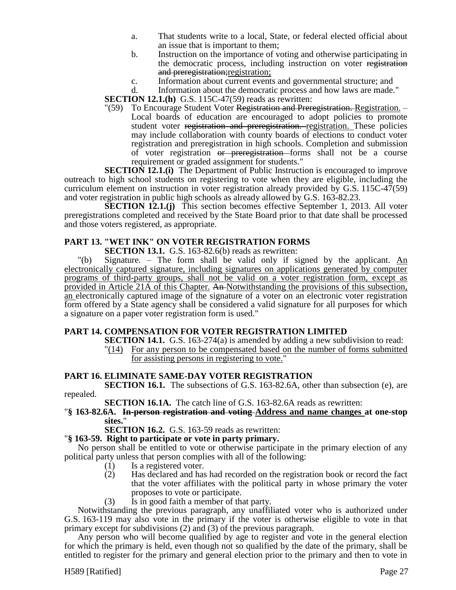- a. That students write to a local, State, or federal elected official about an issue that is important to them;
- b. Instruction on the importance of voting and otherwise participating in the democratic process, including instruction on voter registration and preregistration; registration;
- c. Information about current events and governmental structure; and d. Information about the democratic process and how laws are made.

Information about the democratic process and how laws are made."

**SECTION 12.1.(h)** G.S. 115C-47(59) reads as rewritten:

"(59) To Encourage Student Voter Registration and Preregistration. -Local boards of education are encouraged to adopt policies to promote student voter registration and preregistration. registration. These policies may include collaboration with county boards of elections to conduct voter registration and preregistration in high schools. Completion and submission of voter registration or preregistration forms shall not be a course requirement or graded assignment for students."

**SECTION 12.1.(i)** The Department of Public Instruction is encouraged to improve outreach to high school students on registering to vote when they are eligible, including the curriculum element on instruction in voter registration already provided by G.S. 115C-47(59) and voter registration in public high schools as already allowed by G.S. 163-82.23.

**SECTION 12.1.(j)** This section becomes effective September 1, 2013. All voter preregistrations completed and received by the State Board prior to that date shall be processed and those voters registered, as appropriate.

# **PART 13. "WET INK" ON VOTER REGISTRATION FORMS**

**SECTION 13.1.** G.S. 163-82.6(b) reads as rewritten:

"(b) Signature. – The form shall be valid only if signed by the applicant. An electronically captured signature, including signatures on applications generated by computer programs of third-party groups, shall not be valid on a voter registration form, except as provided in Article 21A of this Chapter. An Notwithstanding the provisions of this subsection, an electronically captured image of the signature of a voter on an electronic voter registration form offered by a State agency shall be considered a valid signature for all purposes for which a signature on a paper voter registration form is used."

### **PART 14. COMPENSATION FOR VOTER REGISTRATION LIMITED**

**SECTION 14.1.** G.S. 163-274(a) is amended by adding a new subdivision to read: "(14) For any person to be compensated based on the number of forms submitted for assisting persons in registering to vote."

### **PART 16. ELIMINATE SAME-DAY VOTER REGISTRATION**

**SECTION 16.1.** The subsections of G.S. 163-82.6A, other than subsection (e), are repealed.

**SECTION 16.1A.** The catch line of G.S. 163-82.6A reads as rewritten:

#### "**§ 163-82.6A. In-person registration and voting Address and name changes at one-stop sites.**"

**SECTION 16.2.** G.S. 163-59 reads as rewritten:

# "**§ 163-59. Right to participate or vote in party primary.**

No person shall be entitled to vote or otherwise participate in the primary election of any political party unless that person complies with all of the following:

- (1) Is a registered voter.
- (2) Has declared and has had recorded on the registration book or record the fact that the voter affiliates with the political party in whose primary the voter proposes to vote or participate.
- (3) Is in good faith a member of that party.

Notwithstanding the previous paragraph, any unaffiliated voter who is authorized under G.S. 163-119 may also vote in the primary if the voter is otherwise eligible to vote in that primary except for subdivisions (2) and (3) of the previous paragraph.

Any person who will become qualified by age to register and vote in the general election for which the primary is held, even though not so qualified by the date of the primary, shall be entitled to register for the primary and general election prior to the primary and then to vote in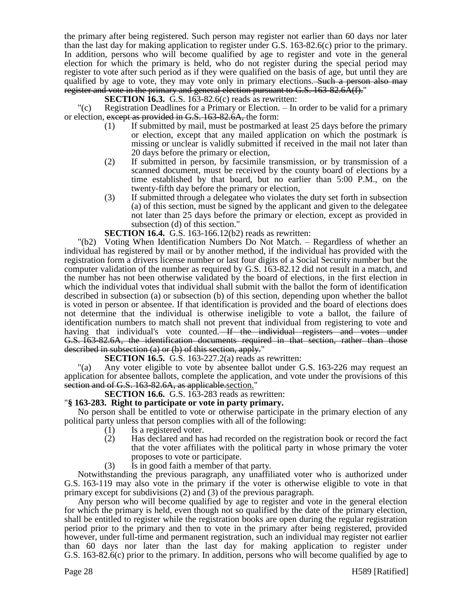the primary after being registered. Such person may register not earlier than 60 days nor later than the last day for making application to register under G.S. 163-82.6(c) prior to the primary. In addition, persons who will become qualified by age to register and vote in the general election for which the primary is held, who do not register during the special period may register to vote after such period as if they were qualified on the basis of age, but until they are qualified by age to vote, they may vote only in primary elections. Such a person also may register and vote in the primary and general election pursuant to G.S. 163-82.6A(f)."

**SECTION 16.3.** G.S. 163-82.6(c) reads as rewritten:

"(c) Registration Deadlines for a Primary or Election. – In order to be valid for a primary or election, except as provided in G.S. 163-82.6A, the form:

- (1) If submitted by mail, must be postmarked at least 25 days before the primary or election, except that any mailed application on which the postmark is missing or unclear is validly submitted if received in the mail not later than 20 days before the primary or election,
- (2) If submitted in person, by facsimile transmission, or by transmission of a scanned document, must be received by the county board of elections by a time established by that board, but no earlier than 5:00 P.M., on the twenty-fifth day before the primary or election,
- (3) If submitted through a delegatee who violates the duty set forth in subsection (a) of this section, must be signed by the applicant and given to the delegatee not later than 25 days before the primary or election, except as provided in subsection (d) of this section."

**SECTION 16.4.** G.S. 163-166.12(b2) reads as rewritten:

"(b2) Voting When Identification Numbers Do Not Match. – Regardless of whether an individual has registered by mail or by another method, if the individual has provided with the registration form a drivers license number or last four digits of a Social Security number but the computer validation of the number as required by G.S. 163-82.12 did not result in a match, and the number has not been otherwise validated by the board of elections, in the first election in which the individual votes that individual shall submit with the ballot the form of identification described in subsection (a) or subsection (b) of this section, depending upon whether the ballot is voted in person or absentee. If that identification is provided and the board of elections does not determine that the individual is otherwise ineligible to vote a ballot, the failure of identification numbers to match shall not prevent that individual from registering to vote and having that individual's vote counted. If the individual registers and votes under G.S. 163-82.6A, the identification documents required in that section, rather than those described in subsection (a) or (b) of this section, apply."

**SECTION 16.5.** G.S. 163-227.2(a) reads as rewritten:

"(a) Any voter eligible to vote by absentee ballot under G.S. 163-226 may request an application for absentee ballots, complete the application, and vote under the provisions of this section and of G.S. 163-82.6A, as applicable section."

# **SECTION 16.6.** G.S. 163-283 reads as rewritten:

### "**§ 163-283. Right to participate or vote in party primary.**

No person shall be entitled to vote or otherwise participate in the primary election of any political party unless that person complies with all of the following:

- (1) Is a registered voter.
- (2) Has declared and has had recorded on the registration book or record the fact that the voter affiliates with the political party in whose primary the voter proposes to vote or participate.
- (3) Is in good faith a member of that party.

Notwithstanding the previous paragraph, any unaffiliated voter who is authorized under G.S. 163-119 may also vote in the primary if the voter is otherwise eligible to vote in that primary except for subdivisions (2) and (3) of the previous paragraph.

Any person who will become qualified by age to register and vote in the general election for which the primary is held, even though not so qualified by the date of the primary election, shall be entitled to register while the registration books are open during the regular registration period prior to the primary and then to vote in the primary after being registered, provided however, under full-time and permanent registration, such an individual may register not earlier than 60 days nor later than the last day for making application to register under G.S. 163-82.6(c) prior to the primary. In addition, persons who will become qualified by age to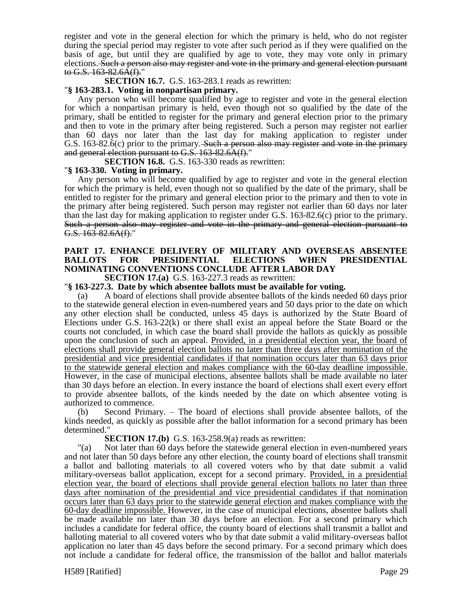register and vote in the general election for which the primary is held, who do not register during the special period may register to vote after such period as if they were qualified on the basis of age, but until they are qualified by age to vote, they may vote only in primary elections. Such a person also may register and vote in the primary and general election pursuant to G.S.  $163-82.6\text{\AA}(\text{f})$ ."

**SECTION 16.7.** G.S. 163-283.1 reads as rewritten:

### "**§ 163-283.1. Voting in nonpartisan primary.**

Any person who will become qualified by age to register and vote in the general election for which a nonpartisan primary is held, even though not so qualified by the date of the primary, shall be entitled to register for the primary and general election prior to the primary and then to vote in the primary after being registered. Such a person may register not earlier than 60 days nor later than the last day for making application to register under G.S. 163-82.6(c) prior to the primary. Such a person also may register and vote in the primary and general election pursuant to G.S. 163-82.6A(f)."

**SECTION 16.8.** G.S. 163-330 reads as rewritten:

### "**§ 163-330. Voting in primary.**

Any person who will become qualified by age to register and vote in the general election for which the primary is held, even though not so qualified by the date of the primary, shall be entitled to register for the primary and general election prior to the primary and then to vote in the primary after being registered. Such person may register not earlier than 60 days nor later than the last day for making application to register under G.S. 163-82.6(c) prior to the primary. Such a person also may register and vote in the primary and general election pursuant to G.S. 163-82.6A(f)."

# **PART 17. ENHANCE DELIVERY OF MILITARY AND OVERSEAS ABSENTEE BALLOTS FOR PRESIDENTIAL ELECTIONS WHEN PRESIDENTIAL NOMINATING CONVENTIONS CONCLUDE AFTER LABOR DAY**

**SECTION 17.(a)** G.S. 163-227.3 reads as rewritten:

### "**§ 163-227.3. Date by which absentee ballots must be available for voting.**

(a) A board of elections shall provide absentee ballots of the kinds needed 60 days prior to the statewide general election in even-numbered years and 50 days prior to the date on which any other election shall be conducted, unless 45 days is authorized by the State Board of Elections under G.S. 163-22(k) or there shall exist an appeal before the State Board or the courts not concluded, in which case the board shall provide the ballots as quickly as possible upon the conclusion of such an appeal. Provided, in a presidential election year, the board of elections shall provide general election ballots no later than three days after nomination of the presidential and vice presidential candidates if that nomination occurs later than 63 days prior to the statewide general election and makes compliance with the 60-day deadline impossible. However, in the case of municipal elections, absentee ballots shall be made available no later than 30 days before an election. In every instance the board of elections shall exert every effort to provide absentee ballots, of the kinds needed by the date on which absentee voting is authorized to commence.

(b) Second Primary. – The board of elections shall provide absentee ballots, of the kinds needed, as quickly as possible after the ballot information for a second primary has been determined."

#### **SECTION 17.(b)** G.S. 163-258.9(a) reads as rewritten:

"(a) Not later than 60 days before the statewide general election in even-numbered years and not later than 50 days before any other election, the county board of elections shall transmit a ballot and balloting materials to all covered voters who by that date submit a valid military-overseas ballot application, except for a second primary. Provided, in a presidential election year, the board of elections shall provide general election ballots no later than three days after nomination of the presidential and vice presidential candidates if that nomination occurs later than 63 days prior to the statewide general election and makes compliance with the 60-day deadline impossible. However, in the case of municipal elections, absentee ballots shall be made available no later than 30 days before an election. For a second primary which includes a candidate for federal office, the county board of elections shall transmit a ballot and balloting material to all covered voters who by that date submit a valid military-overseas ballot application no later than 45 days before the second primary. For a second primary which does not include a candidate for federal office, the transmission of the ballot and ballot materials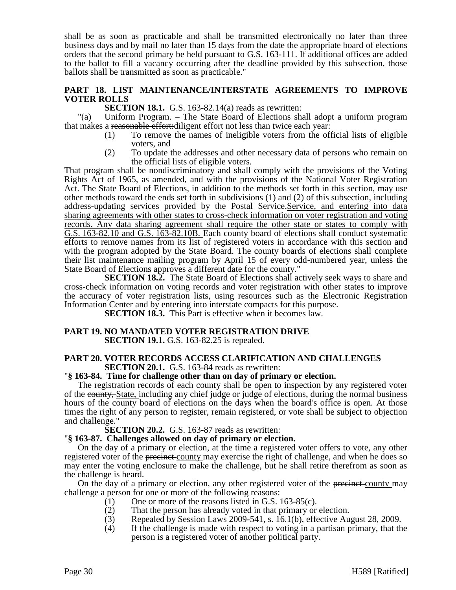shall be as soon as practicable and shall be transmitted electronically no later than three business days and by mail no later than 15 days from the date the appropriate board of elections orders that the second primary be held pursuant to G.S. 163-111. If additional offices are added to the ballot to fill a vacancy occurring after the deadline provided by this subsection, those ballots shall be transmitted as soon as practicable."

### **PART 18. LIST MAINTENANCE/INTERSTATE AGREEMENTS TO IMPROVE VOTER ROLLS**

**SECTION 18.1.** G.S. 163-82.14(a) reads as rewritten:

"(a) Uniform Program. – The State Board of Elections shall adopt a uniform program that makes a reasonable effort:diligent effort not less than twice each year:

- (1) To remove the names of ineligible voters from the official lists of eligible voters, and
- (2) To update the addresses and other necessary data of persons who remain on the official lists of eligible voters.

That program shall be nondiscriminatory and shall comply with the provisions of the Voting Rights Act of 1965, as amended, and with the provisions of the National Voter Registration Act. The State Board of Elections, in addition to the methods set forth in this section, may use other methods toward the ends set forth in subdivisions (1) and (2) of this subsection, including address-updating services provided by the Postal Service. Service, and entering into data sharing agreements with other states to cross-check information on voter registration and voting records. Any data sharing agreement shall require the other state or states to comply with G.S. 163-82.10 and G.S. 163-82.10B. Each county board of elections shall conduct systematic efforts to remove names from its list of registered voters in accordance with this section and with the program adopted by the State Board. The county boards of elections shall complete their list maintenance mailing program by April 15 of every odd-numbered year, unless the State Board of Elections approves a different date for the county."

**SECTION 18.2.** The State Board of Elections shall actively seek ways to share and cross-check information on voting records and voter registration with other states to improve the accuracy of voter registration lists, using resources such as the Electronic Registration Information Center and by entering into interstate compacts for this purpose.

**SECTION 18.3.** This Part is effective when it becomes law.

#### **PART 19. NO MANDATED VOTER REGISTRATION DRIVE SECTION 19.1.** G.S. 163-82.25 is repealed.

#### **PART 20. VOTER RECORDS ACCESS CLARIFICATION AND CHALLENGES SECTION 20.1.** G.S. 163-84 reads as rewritten:

#### "**§ 163-84. Time for challenge other than on day of primary or election.**

The registration records of each county shall be open to inspection by any registered voter of the county, State, including any chief judge or judge of elections, during the normal business hours of the county board of elections on the days when the board's office is open. At those times the right of any person to register, remain registered, or vote shall be subject to objection and challenge."

#### **SECTION 20.2.** G.S. 163-87 reads as rewritten:

#### "**§ 163-87. Challenges allowed on day of primary or election.**

On the day of a primary or election, at the time a registered voter offers to vote, any other registered voter of the precinct county may exercise the right of challenge, and when he does so may enter the voting enclosure to make the challenge, but he shall retire therefrom as soon as the challenge is heard.

On the day of a primary or election, any other registered voter of the precinct-county may challenge a person for one or more of the following reasons:

- (1) One or more of the reasons listed in G.S. 163-85(c).
- (2) That the person has already voted in that primary or election.
- (3) Repealed by Session Laws 2009-541, s. 16.1(b), effective August 28, 2009.
- (4) If the challenge is made with respect to voting in a partisan primary, that the person is a registered voter of another political party.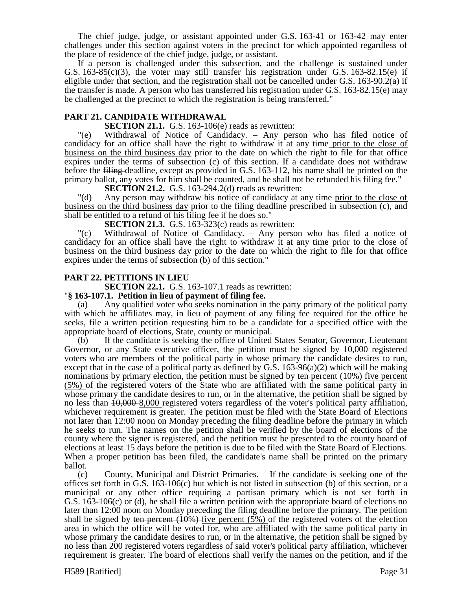The chief judge, judge, or assistant appointed under G.S. 163-41 or 163-42 may enter challenges under this section against voters in the precinct for which appointed regardless of the place of residence of the chief judge, judge, or assistant.

If a person is challenged under this subsection, and the challenge is sustained under G.S.  $163-85(c)(3)$ , the voter may still transfer his registration under G.S.  $163-82.15(e)$  if eligible under that section, and the registration shall not be cancelled under G.S. 163-90.2(a) if the transfer is made. A person who has transferred his registration under G.S. 163-82.15(e) may be challenged at the precinct to which the registration is being transferred."

### **PART 21. CANDIDATE WITHDRAWAL**

**SECTION 21.1.** G.S. 163-106(e) reads as rewritten:

"(e) Withdrawal of Notice of Candidacy. – Any person who has filed notice of candidacy for an office shall have the right to withdraw it at any time prior to the close of business on the third business day prior to the date on which the right to file for that office expires under the terms of subsection (c) of this section. If a candidate does not withdraw before the filing deadline, except as provided in G.S. 163-112, his name shall be printed on the primary ballot, any votes for him shall be counted, and he shall not be refunded his filing fee."

**SECTION 21.2.** G.S. 163-294.2(d) reads as rewritten:

"(d) Any person may withdraw his notice of candidacy at any time prior to the close of business on the third business day prior to the filing deadline prescribed in subsection (c), and shall be entitled to a refund of his filing fee if he does so."

**SECTION 21.3.** G.S. 163-323(c) reads as rewritten:

"(c) Withdrawal of Notice of Candidacy. – Any person who has filed a notice of candidacy for an office shall have the right to withdraw it at any time prior to the close of business on the third business day prior to the date on which the right to file for that office expires under the terms of subsection (b) of this section."

#### **PART 22. PETITIONS IN LIEU**

**SECTION 22.1.** G.S. 163-107.1 reads as rewritten:

#### "**§ 163-107.1. Petition in lieu of payment of filing fee.**

(a) Any qualified voter who seeks nomination in the party primary of the political party with which he affiliates may, in lieu of payment of any filing fee required for the office he seeks, file a written petition requesting him to be a candidate for a specified office with the appropriate board of elections, State, county or municipal.

(b) If the candidate is seeking the office of United States Senator, Governor, Lieutenant Governor, or any State executive officer, the petition must be signed by 10,000 registered voters who are members of the political party in whose primary the candidate desires to run, except that in the case of a political party as defined by G.S. 163-96(a)(2) which will be making nominations by primary election, the petition must be signed by ten percent (10%) five percent (5%) of the registered voters of the State who are affiliated with the same political party in whose primary the candidate desires to run, or in the alternative, the petition shall be signed by no less than  $10,000 - 8,000$  registered voters regardless of the voter's political party affiliation, whichever requirement is greater. The petition must be filed with the State Board of Elections not later than 12:00 noon on Monday preceding the filing deadline before the primary in which he seeks to run. The names on the petition shall be verified by the board of elections of the county where the signer is registered, and the petition must be presented to the county board of elections at least 15 days before the petition is due to be filed with the State Board of Elections. When a proper petition has been filed, the candidate's name shall be printed on the primary ballot.

(c) County, Municipal and District Primaries. – If the candidate is seeking one of the offices set forth in G.S. 163-106(c) but which is not listed in subsection (b) of this section, or a municipal or any other office requiring a partisan primary which is not set forth in G.S. 163-106(c) or (d), he shall file a written petition with the appropriate board of elections no later than 12:00 noon on Monday preceding the filing deadline before the primary. The petition shall be signed by ten percent  $(10%)$  five percent  $(5%)$  of the registered voters of the election area in which the office will be voted for, who are affiliated with the same political party in whose primary the candidate desires to run, or in the alternative, the petition shall be signed by no less than 200 registered voters regardless of said voter's political party affiliation, whichever requirement is greater. The board of elections shall verify the names on the petition, and if the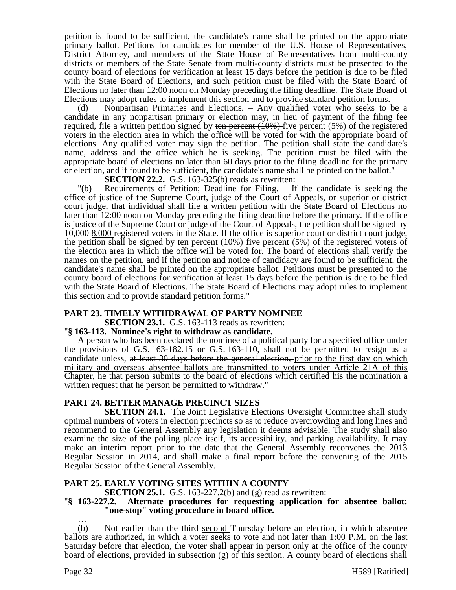petition is found to be sufficient, the candidate's name shall be printed on the appropriate primary ballot. Petitions for candidates for member of the U.S. House of Representatives, District Attorney, and members of the State House of Representatives from multi-county districts or members of the State Senate from multi-county districts must be presented to the county board of elections for verification at least 15 days before the petition is due to be filed with the State Board of Elections, and such petition must be filed with the State Board of Elections no later than 12:00 noon on Monday preceding the filing deadline. The State Board of Elections may adopt rules to implement this section and to provide standard petition forms.

(d) Nonpartisan Primaries and Elections. – Any qualified voter who seeks to be a candidate in any nonpartisan primary or election may, in lieu of payment of the filing fee required, file a written petition signed by ten percent  $(10\%)$  five percent  $(5\%)$  of the registered voters in the election area in which the office will be voted for with the appropriate board of elections. Any qualified voter may sign the petition. The petition shall state the candidate's name, address and the office which he is seeking. The petition must be filed with the appropriate board of elections no later than 60 days prior to the filing deadline for the primary or election, and if found to be sufficient, the candidate's name shall be printed on the ballot."

**SECTION 22.2.** G.S. 163-325(b) reads as rewritten:

"(b) Requirements of Petition; Deadline for Filing. – If the candidate is seeking the office of justice of the Supreme Court, judge of the Court of Appeals, or superior or district court judge, that individual shall file a written petition with the State Board of Elections no later than 12:00 noon on Monday preceding the filing deadline before the primary. If the office is justice of the Supreme Court or judge of the Court of Appeals, the petition shall be signed by 10,000 8,000 registered voters in the State. If the office is superior court or district court judge, the petition shall be signed by ten percent  $(10\%)$  five percent  $(5\%)$  of the registered voters of the election area in which the office will be voted for. The board of elections shall verify the names on the petition, and if the petition and notice of candidacy are found to be sufficient, the candidate's name shall be printed on the appropriate ballot. Petitions must be presented to the county board of elections for verification at least 15 days before the petition is due to be filed with the State Board of Elections. The State Board of Elections may adopt rules to implement this section and to provide standard petition forms."

### **PART 23. TIMELY WITHDRAWAL OF PARTY NOMINEE**

**SECTION 23.1.** G.S. 163-113 reads as rewritten:

### "**§ 163-113. Nominee's right to withdraw as candidate.**

A person who has been declared the nominee of a political party for a specified office under the provisions of G.S. 163-182.15 or G.S. 163-110, shall not be permitted to resign as a candidate unless, at least 30 days before the general election, prior to the first day on which military and overseas absentee ballots are transmitted to voters under Article 21A of this Chapter, he that person submits to the board of elections which certified his the nomination a written request that he person be permitted to withdraw."

#### **PART 24. BETTER MANAGE PRECINCT SIZES**

**SECTION 24.1.** The Joint Legislative Elections Oversight Committee shall study optimal numbers of voters in election precincts so as to reduce overcrowding and long lines and recommend to the General Assembly any legislation it deems advisable. The study shall also examine the size of the polling place itself, its accessibility, and parking availability. It may make an interim report prior to the date that the General Assembly reconvenes the 2013 Regular Session in 2014, and shall make a final report before the convening of the 2015 Regular Session of the General Assembly.

### **PART 25. EARLY VOTING SITES WITHIN A COUNTY**

**SECTION 25.1.** G.S. 163-227.2(b) and (g) read as rewritten:

#### "**§ 163-227.2. Alternate procedures for requesting application for absentee ballot; "one-stop" voting procedure in board office.**

… (b) Not earlier than the third-second Thursday before an election, in which absentee ballots are authorized, in which a voter seeks to vote and not later than 1:00 P.M. on the last Saturday before that election, the voter shall appear in person only at the office of the county board of elections, provided in subsection (g) of this section. A county board of elections shall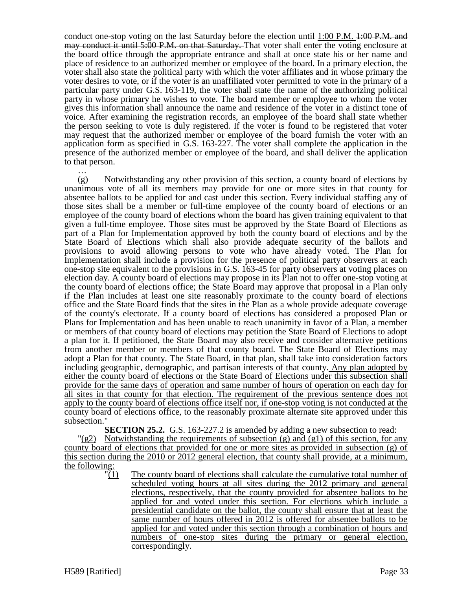conduct one-stop voting on the last Saturday before the election until 1:00 P.M. 4:00 P.M. and may conduct it until 5:00 P.M. on that Saturday. That voter shall enter the voting enclosure at the board office through the appropriate entrance and shall at once state his or her name and place of residence to an authorized member or employee of the board. In a primary election, the voter shall also state the political party with which the voter affiliates and in whose primary the voter desires to vote, or if the voter is an unaffiliated voter permitted to vote in the primary of a particular party under G.S. 163-119, the voter shall state the name of the authorizing political party in whose primary he wishes to vote. The board member or employee to whom the voter gives this information shall announce the name and residence of the voter in a distinct tone of voice. After examining the registration records, an employee of the board shall state whether the person seeking to vote is duly registered. If the voter is found to be registered that voter may request that the authorized member or employee of the board furnish the voter with an application form as specified in G.S. 163-227. The voter shall complete the application in the presence of the authorized member or employee of the board, and shall deliver the application to that person.

… (g) Notwithstanding any other provision of this section, a county board of elections by unanimous vote of all its members may provide for one or more sites in that county for absentee ballots to be applied for and cast under this section. Every individual staffing any of those sites shall be a member or full-time employee of the county board of elections or an employee of the county board of elections whom the board has given training equivalent to that given a full-time employee. Those sites must be approved by the State Board of Elections as part of a Plan for Implementation approved by both the county board of elections and by the State Board of Elections which shall also provide adequate security of the ballots and provisions to avoid allowing persons to vote who have already voted. The Plan for Implementation shall include a provision for the presence of political party observers at each one-stop site equivalent to the provisions in G.S. 163-45 for party observers at voting places on election day. A county board of elections may propose in its Plan not to offer one-stop voting at the county board of elections office; the State Board may approve that proposal in a Plan only if the Plan includes at least one site reasonably proximate to the county board of elections office and the State Board finds that the sites in the Plan as a whole provide adequate coverage of the county's electorate. If a county board of elections has considered a proposed Plan or Plans for Implementation and has been unable to reach unanimity in favor of a Plan, a member or members of that county board of elections may petition the State Board of Elections to adopt a plan for it. If petitioned, the State Board may also receive and consider alternative petitions from another member or members of that county board. The State Board of Elections may adopt a Plan for that county. The State Board, in that plan, shall take into consideration factors including geographic, demographic, and partisan interests of that county. Any plan adopted by either the county board of elections or the State Board of Elections under this subsection shall provide for the same days of operation and same number of hours of operation on each day for all sites in that county for that election. The requirement of the previous sentence does not apply to the county board of elections office itself nor, if one-stop voting is not conducted at the county board of elections office, to the reasonably proximate alternate site approved under this subsection."

**SECTION 25.2.** G.S. 163-227.2 is amended by adding a new subsection to read:

 $\frac{q(82)}{q(82)}$  Notwithstanding the requirements of subsection (g) and (g1) of this section, for any county board of elections that provided for one or more sites as provided in subsection (g) of this section during the 2010 or 2012 general election, that county shall provide, at a minimum, the following:

 $\frac{1}{1}$  The county board of elections shall calculate the cumulative total number of scheduled voting hours at all sites during the 2012 primary and general elections, respectively, that the county provided for absentee ballots to be applied for and voted under this section. For elections which include a presidential candidate on the ballot, the county shall ensure that at least the same number of hours offered in 2012 is offered for absentee ballots to be applied for and voted under this section through a combination of hours and numbers of one-stop sites during the primary or general election, correspondingly.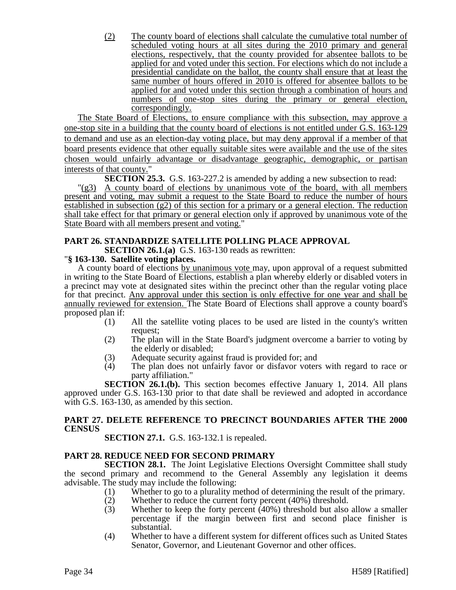(2) The county board of elections shall calculate the cumulative total number of scheduled voting hours at all sites during the 2010 primary and general elections, respectively, that the county provided for absentee ballots to be applied for and voted under this section. For elections which do not include a presidential candidate on the ballot, the county shall ensure that at least the same number of hours offered in 2010 is offered for absentee ballots to be applied for and voted under this section through a combination of hours and numbers of one-stop sites during the primary or general election, correspondingly.

The State Board of Elections, to ensure compliance with this subsection, may approve a one-stop site in a building that the county board of elections is not entitled under G.S. 163-129 to demand and use as an election-day voting place, but may deny approval if a member of that board presents evidence that other equally suitable sites were available and the use of the sites chosen would unfairly advantage or disadvantage geographic, demographic, or partisan interests of that county."

**SECTION 25.3.** G.S. 163-227.2 is amended by adding a new subsection to read:

"(g3) A county board of elections by unanimous vote of the board, with all members present and voting, may submit a request to the State Board to reduce the number of hours established in subsection (g2) of this section for a primary or a general election. The reduction shall take effect for that primary or general election only if approved by unanimous vote of the State Board with all members present and voting."

# **PART 26. STANDARDIZE SATELLITE POLLING PLACE APPROVAL**

**SECTION 26.1.(a)** G.S. 163-130 reads as rewritten:

### "**§ 163-130. Satellite voting places.**

A county board of elections by unanimous vote may, upon approval of a request submitted in writing to the State Board of Elections, establish a plan whereby elderly or disabled voters in a precinct may vote at designated sites within the precinct other than the regular voting place for that precinct. Any approval under this section is only effective for one year and shall be annually reviewed for extension. The State Board of Elections shall approve a county board's proposed plan if:

- (1) All the satellite voting places to be used are listed in the county's written request;
- (2) The plan will in the State Board's judgment overcome a barrier to voting by the elderly or disabled;
- (3) Adequate security against fraud is provided for; and
- (4) The plan does not unfairly favor or disfavor voters with regard to race or party affiliation."

**SECTION 26.1.(b).** This section becomes effective January 1, 2014. All plans approved under G.S. 163-130 prior to that date shall be reviewed and adopted in accordance with G.S. 163-130, as amended by this section.

### **PART 27. DELETE REFERENCE TO PRECINCT BOUNDARIES AFTER THE 2000 CENSUS**

**SECTION 27.1.** G.S. 163-132.1 is repealed.

### **PART 28. REDUCE NEED FOR SECOND PRIMARY**

**SECTION 28.1.** The Joint Legislative Elections Oversight Committee shall study the second primary and recommend to the General Assembly any legislation it deems advisable. The study may include the following:

- (1) Whether to go to a plurality method of determining the result of the primary.
- (2) Whether to reduce the current forty percent (40%) threshold.
- (3) Whether to keep the forty percent (40%) threshold but also allow a smaller percentage if the margin between first and second place finisher is substantial.
- (4) Whether to have a different system for different offices such as United States Senator, Governor, and Lieutenant Governor and other offices.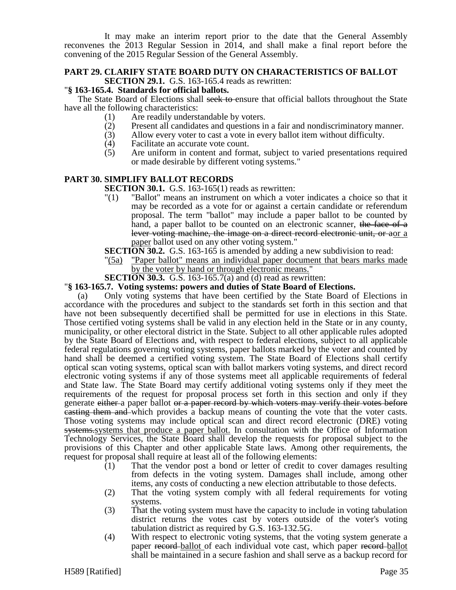It may make an interim report prior to the date that the General Assembly reconvenes the 2013 Regular Session in 2014, and shall make a final report before the convening of the 2015 Regular Session of the General Assembly.

### **PART 29. CLARIFY STATE BOARD DUTY ON CHARACTERISTICS OF BALLOT SECTION 29.1.** G.S. 163-165.4 reads as rewritten:

### "**§ 163-165.4. Standards for official ballots.**

The State Board of Elections shall seek to ensure that official ballots throughout the State have all the following characteristics:

- (1) Are readily understandable by voters.
- (2) Present all candidates and questions in a fair and nondiscriminatory manner.<br>(3) Allow every voter to cast a vote in every ballot item without difficulty.
- Allow every voter to cast a vote in every ballot item without difficulty.
- (4) Facilitate an accurate vote count.<br>(5) Are uniform in content and form
- Are uniform in content and format, subject to varied presentations required or made desirable by different voting systems."

### **PART 30. SIMPLIFY BALLOT RECORDS**

**SECTION 30.1.** G.S. 163-165(1) reads as rewritten:

- "(1) "Ballot" means an instrument on which a voter indicates a choice so that it may be recorded as a vote for or against a certain candidate or referendum proposal. The term "ballot" may include a paper ballot to be counted by hand, a paper ballot to be counted on an electronic scanner, the face of a lever voting machine, the image on a direct record electronic unit, or aor a paper ballot used on any other voting system."
- **SECTION 30.2.** G.S. 163-165 is amended by adding a new subdivision to read:
- "(5a) "Paper ballot" means an individual paper document that bears marks made by the voter by hand or through electronic means."
- **SECTION 30.3.** G.S. 163-165.7(a) and (d) read as rewritten:

#### "**§ 163-165.7. Voting systems: powers and duties of State Board of Elections.**

(a) Only voting systems that have been certified by the State Board of Elections in accordance with the procedures and subject to the standards set forth in this section and that have not been subsequently decertified shall be permitted for use in elections in this State. Those certified voting systems shall be valid in any election held in the State or in any county, municipality, or other electoral district in the State. Subject to all other applicable rules adopted by the State Board of Elections and, with respect to federal elections, subject to all applicable federal regulations governing voting systems, paper ballots marked by the voter and counted by hand shall be deemed a certified voting system. The State Board of Elections shall certify optical scan voting systems, optical scan with ballot markers voting systems, and direct record electronic voting systems if any of those systems meet all applicable requirements of federal and State law. The State Board may certify additional voting systems only if they meet the requirements of the request for proposal process set forth in this section and only if they generate either a paper ballot or a paper record by which voters may verify their votes before casting them and which provides a backup means of counting the vote that the voter casts. Those voting systems may include optical scan and direct record electronic (DRE) voting systems.systems that produce a paper ballot. In consultation with the Office of Information Technology Services, the State Board shall develop the requests for proposal subject to the provisions of this Chapter and other applicable State laws. Among other requirements, the request for proposal shall require at least all of the following elements:

- (1) That the vendor post a bond or letter of credit to cover damages resulting from defects in the voting system. Damages shall include, among other items, any costs of conducting a new election attributable to those defects.
- (2) That the voting system comply with all federal requirements for voting systems.
- (3) That the voting system must have the capacity to include in voting tabulation district returns the votes cast by voters outside of the voter's voting tabulation district as required by G.S. 163-132.5G.
- (4) With respect to electronic voting systems, that the voting system generate a paper record ballot of each individual vote cast, which paper record ballot shall be maintained in a secure fashion and shall serve as a backup record for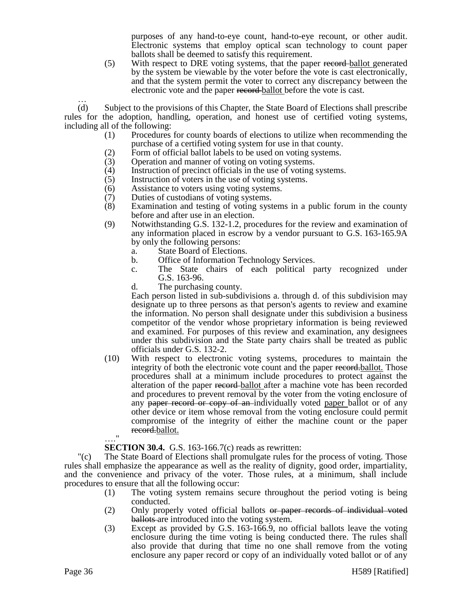purposes of any hand-to-eye count, hand-to-eye recount, or other audit. Electronic systems that employ optical scan technology to count paper ballots shall be deemed to satisfy this requirement.

(5) With respect to DRE voting systems, that the paper record ballot generated by the system be viewable by the voter before the vote is cast electronically, and that the system permit the voter to correct any discrepancy between the electronic vote and the paper record ballot before the vote is cast.

… (d) Subject to the provisions of this Chapter, the State Board of Elections shall prescribe rules for the adoption, handling, operation, and honest use of certified voting systems, including all of the following:

- (1) Procedures for county boards of elections to utilize when recommending the purchase of a certified voting system for use in that county.
- (2) Form of official ballot labels to be used on voting systems.
- (3) Operation and manner of voting on voting systems.
- (4) Instruction of precinct officials in the use of voting systems.
- (5) Instruction of voters in the use of voting systems.
- (6) Assistance to voters using voting systems.
- (7) Duties of custodians of voting systems.
- (8) Examination and testing of voting systems in a public forum in the county before and after use in an election.
- (9) Notwithstanding G.S. 132-1.2, procedures for the review and examination of any information placed in escrow by a vendor pursuant to G.S. 163-165.9A by only the following persons:
	- a. State Board of Elections.
	- b. Office of Information Technology Services.
	- c. The State chairs of each political party recognized under G.S. 163-96.
	- d. The purchasing county.

Each person listed in sub-subdivisions a. through d. of this subdivision may designate up to three persons as that person's agents to review and examine the information. No person shall designate under this subdivision a business competitor of the vendor whose proprietary information is being reviewed and examined. For purposes of this review and examination, any designees under this subdivision and the State party chairs shall be treated as public officials under G.S. 132-2.

(10) With respect to electronic voting systems, procedures to maintain the integrity of both the electronic vote count and the paper record.ballot. Those procedures shall at a minimum include procedures to protect against the alteration of the paper record ballot after a machine vote has been recorded and procedures to prevent removal by the voter from the voting enclosure of any paper record or copy of an-individually voted paper ballot or of any other device or item whose removal from the voting enclosure could permit compromise of the integrity of either the machine count or the paper record.ballot. …."

#### **SECTION 30.4.** G.S. 163-166.7(c) reads as rewritten:

"(c) The State Board of Elections shall promulgate rules for the process of voting. Those rules shall emphasize the appearance as well as the reality of dignity, good order, impartiality, and the convenience and privacy of the voter. Those rules, at a minimum, shall include procedures to ensure that all the following occur:

- (1) The voting system remains secure throughout the period voting is being conducted.
- (2) Only properly voted official ballots or paper records of individual voted ballots are introduced into the voting system.
- (3) Except as provided by G.S. 163-166.9, no official ballots leave the voting enclosure during the time voting is being conducted there. The rules shall also provide that during that time no one shall remove from the voting enclosure any paper record or copy of an individually voted ballot or of any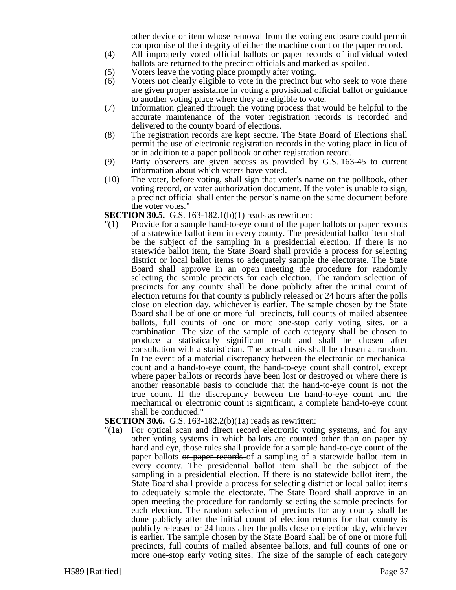other device or item whose removal from the voting enclosure could permit compromise of the integrity of either the machine count or the paper record.

- (4) All improperly voted official ballots or paper records of individual voted ballots are returned to the precinct officials and marked as spoiled.
- (5) Voters leave the voting place promptly after voting.
- (6) Voters not clearly eligible to vote in the precinct but who seek to vote there are given proper assistance in voting a provisional official ballot or guidance to another voting place where they are eligible to vote.
- (7) Information gleaned through the voting process that would be helpful to the accurate maintenance of the voter registration records is recorded and delivered to the county board of elections.
- (8) The registration records are kept secure. The State Board of Elections shall permit the use of electronic registration records in the voting place in lieu of or in addition to a paper pollbook or other registration record.
- (9) Party observers are given access as provided by G.S. 163-45 to current information about which voters have voted.
- (10) The voter, before voting, shall sign that voter's name on the pollbook, other voting record, or voter authorization document. If the voter is unable to sign, a precinct official shall enter the person's name on the same document before the voter votes."

**SECTION 30.5.** G.S. 163-182.1(b)(1) reads as rewritten:

 $\Gamma(1)$  Provide for a sample hand-to-eye count of the paper ballots or paper records of a statewide ballot item in every county. The presidential ballot item shall be the subject of the sampling in a presidential election. If there is no statewide ballot item, the State Board shall provide a process for selecting district or local ballot items to adequately sample the electorate. The State Board shall approve in an open meeting the procedure for randomly selecting the sample precincts for each election. The random selection of precincts for any county shall be done publicly after the initial count of election returns for that county is publicly released or 24 hours after the polls close on election day, whichever is earlier. The sample chosen by the State Board shall be of one or more full precincts, full counts of mailed absentee ballots, full counts of one or more one-stop early voting sites, or a combination. The size of the sample of each category shall be chosen to produce a statistically significant result and shall be chosen after consultation with a statistician. The actual units shall be chosen at random. In the event of a material discrepancy between the electronic or mechanical count and a hand-to-eye count, the hand-to-eye count shall control, except where paper ballots or records have been lost or destroyed or where there is another reasonable basis to conclude that the hand-to-eye count is not the true count. If the discrepancy between the hand-to-eye count and the mechanical or electronic count is significant, a complete hand-to-eye count shall be conducted."

**SECTION 30.6.** G.S. 163-182.2(b)(1a) reads as rewritten:

"(1a) For optical scan and direct record electronic voting systems, and for any other voting systems in which ballots are counted other than on paper by hand and eye, those rules shall provide for a sample hand-to-eye count of the paper ballots or paper records of a sampling of a statewide ballot item in every county. The presidential ballot item shall be the subject of the sampling in a presidential election. If there is no statewide ballot item, the State Board shall provide a process for selecting district or local ballot items to adequately sample the electorate. The State Board shall approve in an open meeting the procedure for randomly selecting the sample precincts for each election. The random selection of precincts for any county shall be done publicly after the initial count of election returns for that county is publicly released or 24 hours after the polls close on election day, whichever is earlier. The sample chosen by the State Board shall be of one or more full precincts, full counts of mailed absentee ballots, and full counts of one or more one-stop early voting sites. The size of the sample of each category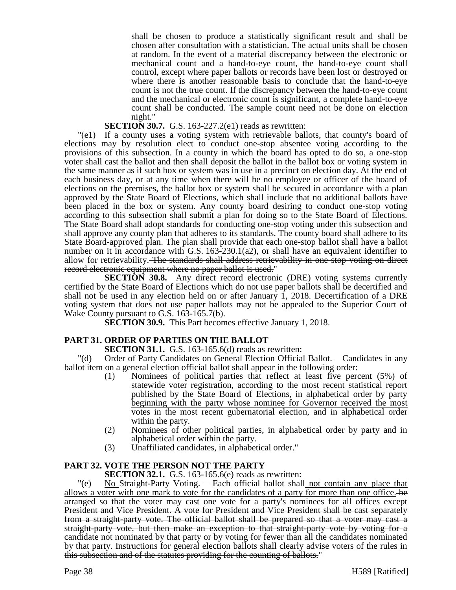shall be chosen to produce a statistically significant result and shall be chosen after consultation with a statistician. The actual units shall be chosen at random. In the event of a material discrepancy between the electronic or mechanical count and a hand-to-eye count, the hand-to-eye count shall control, except where paper ballots or records have been lost or destroyed or where there is another reasonable basis to conclude that the hand-to-eye count is not the true count. If the discrepancy between the hand-to-eye count and the mechanical or electronic count is significant, a complete hand-to-eye count shall be conducted. The sample count need not be done on election night."

### **SECTION 30.7.** G.S. 163-227.2(e1) reads as rewritten:

"(e1) If a county uses a voting system with retrievable ballots, that county's board of elections may by resolution elect to conduct one-stop absentee voting according to the provisions of this subsection. In a county in which the board has opted to do so, a one-stop voter shall cast the ballot and then shall deposit the ballot in the ballot box or voting system in the same manner as if such box or system was in use in a precinct on election day. At the end of each business day, or at any time when there will be no employee or officer of the board of elections on the premises, the ballot box or system shall be secured in accordance with a plan approved by the State Board of Elections, which shall include that no additional ballots have been placed in the box or system. Any county board desiring to conduct one-stop voting according to this subsection shall submit a plan for doing so to the State Board of Elections. The State Board shall adopt standards for conducting one-stop voting under this subsection and shall approve any county plan that adheres to its standards. The county board shall adhere to its State Board-approved plan. The plan shall provide that each one-stop ballot shall have a ballot number on it in accordance with G.S. 163-230.1(a2), or shall have an equivalent identifier to allow for retrievability. The standards shall address retrievability in one-stop voting on direct record electronic equipment where no paper ballot is used."

**SECTION 30.8.** Any direct record electronic (DRE) voting systems currently certified by the State Board of Elections which do not use paper ballots shall be decertified and shall not be used in any election held on or after January 1, 2018. Decertification of a DRE voting system that does not use paper ballots may not be appealed to the Superior Court of Wake County pursuant to G.S. 163-165.7(b).

**SECTION 30.9.** This Part becomes effective January 1, 2018.

### **PART 31. ORDER OF PARTIES ON THE BALLOT**

**SECTION 31.1.** G.S. 163-165.6(d) reads as rewritten:

"(d) Order of Party Candidates on General Election Official Ballot. – Candidates in any ballot item on a general election official ballot shall appear in the following order:

- (1) Nominees of political parties that reflect at least five percent (5%) of statewide voter registration, according to the most recent statistical report published by the State Board of Elections, in alphabetical order by party beginning with the party whose nominee for Governor received the most votes in the most recent gubernatorial election, and in alphabetical order within the party.
- (2) Nominees of other political parties, in alphabetical order by party and in alphabetical order within the party.
- (3) Unaffiliated candidates, in alphabetical order."

# **PART 32. VOTE THE PERSON NOT THE PARTY**

**SECTION 32.1.** G.S. 163-165.6(e) reads as rewritten:

"(e) No Straight-Party Voting. – Each official ballot shall not contain any place that allows a voter with one mark to vote for the candidates of a party for more than one office. be arranged so that the voter may cast one vote for a party's nominees for all offices except President and Vice President. A vote for President and Vice President shall be cast separately from a straight-party vote. The official ballot shall be prepared so that a voter may cast a straight-party vote, but then make an exception to that straight-party vote by voting for a candidate not nominated by that party or by voting for fewer than all the candidates nominated by that party. Instructions for general election ballots shall clearly advise voters of the rules in this subsection and of the statutes providing for the counting of ballots."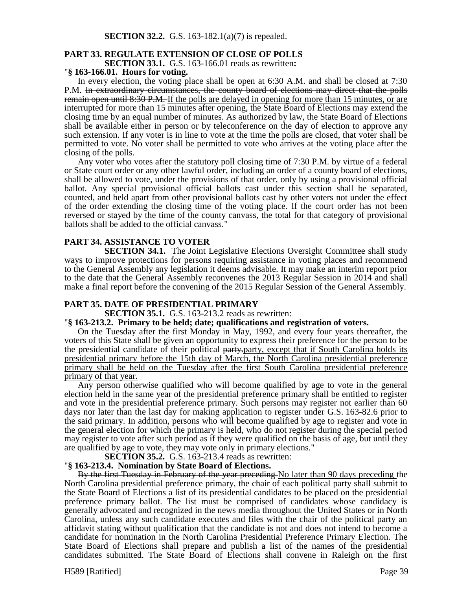### **PART 33. REGULATE EXTENSION OF CLOSE OF POLLS**

**SECTION 33.1.** G.S. 163-166.01 reads as rewritten**:**

#### "**§ 163-166.01. Hours for voting.**

In every election, the voting place shall be open at 6:30 A.M. and shall be closed at 7:30 P.M. In extraordinary circumstances, the county board of elections may direct that the polls remain open until 8:30 P.M. If the polls are delayed in opening for more than 15 minutes, or are interrupted for more than 15 minutes after opening, the State Board of Elections may extend the closing time by an equal number of minutes. As authorized by law, the State Board of Elections shall be available either in person or by teleconference on the day of election to approve any such extension. If any voter is in line to vote at the time the polls are closed, that voter shall be permitted to vote. No voter shall be permitted to vote who arrives at the voting place after the closing of the polls.

Any voter who votes after the statutory poll closing time of 7:30 P.M. by virtue of a federal or State court order or any other lawful order, including an order of a county board of elections, shall be allowed to vote, under the provisions of that order, only by using a provisional official ballot. Any special provisional official ballots cast under this section shall be separated, counted, and held apart from other provisional ballots cast by other voters not under the effect of the order extending the closing time of the voting place. If the court order has not been reversed or stayed by the time of the county canvass, the total for that category of provisional ballots shall be added to the official canvass."

### **PART 34. ASSISTANCE TO VOTER**

**SECTION 34.1.** The Joint Legislative Elections Oversight Committee shall study ways to improve protections for persons requiring assistance in voting places and recommend to the General Assembly any legislation it deems advisable. It may make an interim report prior to the date that the General Assembly reconvenes the 2013 Regular Session in 2014 and shall make a final report before the convening of the 2015 Regular Session of the General Assembly.

#### **PART 35. DATE OF PRESIDENTIAL PRIMARY**

**SECTION 35.1.** G.S. 163-213.2 reads as rewritten:

#### "**§ 163-213.2. Primary to be held; date; qualifications and registration of voters.**

On the Tuesday after the first Monday in May, 1992, and every four years thereafter, the voters of this State shall be given an opportunity to express their preference for the person to be the presidential candidate of their political party, party, except that if South Carolina holds its presidential primary before the 15th day of March, the North Carolina presidential preference primary shall be held on the Tuesday after the first South Carolina presidential preference primary of that year.

Any person otherwise qualified who will become qualified by age to vote in the general election held in the same year of the presidential preference primary shall be entitled to register and vote in the presidential preference primary. Such persons may register not earlier than 60 days nor later than the last day for making application to register under G.S. 163-82.6 prior to the said primary. In addition, persons who will become qualified by age to register and vote in the general election for which the primary is held, who do not register during the special period may register to vote after such period as if they were qualified on the basis of age, but until they are qualified by age to vote, they may vote only in primary elections."

**SECTION 35.2.** G.S. 163-213.4 reads as rewritten:

#### "**§ 163-213.4. Nomination by State Board of Elections.**

By the first Tuesday in February of the year preceding No later than 90 days preceding the North Carolina presidential preference primary, the chair of each political party shall submit to the State Board of Elections a list of its presidential candidates to be placed on the presidential preference primary ballot. The list must be comprised of candidates whose candidacy is generally advocated and recognized in the news media throughout the United States or in North Carolina, unless any such candidate executes and files with the chair of the political party an affidavit stating without qualification that the candidate is not and does not intend to become a candidate for nomination in the North Carolina Presidential Preference Primary Election. The State Board of Elections shall prepare and publish a list of the names of the presidential candidates submitted. The State Board of Elections shall convene in Raleigh on the first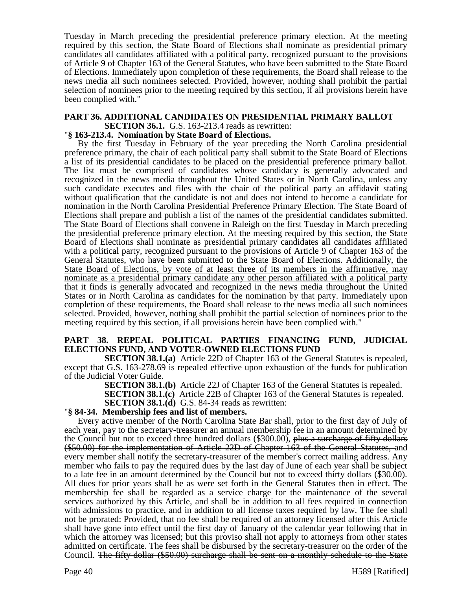Tuesday in March preceding the presidential preference primary election. At the meeting required by this section, the State Board of Elections shall nominate as presidential primary candidates all candidates affiliated with a political party, recognized pursuant to the provisions of Article 9 of Chapter 163 of the General Statutes, who have been submitted to the State Board of Elections. Immediately upon completion of these requirements, the Board shall release to the news media all such nominees selected. Provided, however, nothing shall prohibit the partial selection of nominees prior to the meeting required by this section, if all provisions herein have been complied with."

# **PART 36. ADDITIONAL CANDIDATES ON PRESIDENTIAL PRIMARY BALLOT**

**SECTION 36.1.** G.S. 163-213.4 reads as rewritten:

### "**§ 163-213.4. Nomination by State Board of Elections.**

By the first Tuesday in February of the year preceding the North Carolina presidential preference primary, the chair of each political party shall submit to the State Board of Elections a list of its presidential candidates to be placed on the presidential preference primary ballot. The list must be comprised of candidates whose candidacy is generally advocated and recognized in the news media throughout the United States or in North Carolina, unless any such candidate executes and files with the chair of the political party an affidavit stating without qualification that the candidate is not and does not intend to become a candidate for nomination in the North Carolina Presidential Preference Primary Election. The State Board of Elections shall prepare and publish a list of the names of the presidential candidates submitted. The State Board of Elections shall convene in Raleigh on the first Tuesday in March preceding the presidential preference primary election. At the meeting required by this section, the State Board of Elections shall nominate as presidential primary candidates all candidates affiliated with a political party, recognized pursuant to the provisions of Article 9 of Chapter 163 of the General Statutes, who have been submitted to the State Board of Elections. Additionally, the State Board of Elections, by vote of at least three of its members in the affirmative, may nominate as a presidential primary candidate any other person affiliated with a political party that it finds is generally advocated and recognized in the news media throughout the United States or in North Carolina as candidates for the nomination by that party. Immediately upon completion of these requirements, the Board shall release to the news media all such nominees selected. Provided, however, nothing shall prohibit the partial selection of nominees prior to the meeting required by this section, if all provisions herein have been complied with."

### **PART 38. REPEAL POLITICAL PARTIES FINANCING FUND, JUDICIAL ELECTIONS FUND, AND VOTER-OWNED ELECTIONS FUND**

**SECTION 38.1.(a)** Article 22D of Chapter 163 of the General Statutes is repealed, except that G.S. 163-278.69 is repealed effective upon exhaustion of the funds for publication of the Judicial Voter Guide.

**SECTION 38.1.(b)** Article 22J of Chapter 163 of the General Statutes is repealed.

**SECTION 38.1.(c)** Article 22B of Chapter 163 of the General Statutes is repealed.

**SECTION 38.1.(d)** G.S. 84-34 reads as rewritten:

### "**§ 84-34. Membership fees and list of members.**

Every active member of the North Carolina State Bar shall, prior to the first day of July of each year, pay to the secretary-treasurer an annual membership fee in an amount determined by the Council but not to exceed three hundred dollars  $(\$300.00)$ , plus a surcharge of fifty dollars (\$50.00) for the implementation of Article 22D of Chapter 163 of the General Statutes, and every member shall notify the secretary-treasurer of the member's correct mailing address. Any member who fails to pay the required dues by the last day of June of each year shall be subject to a late fee in an amount determined by the Council but not to exceed thirty dollars (\$30.00). All dues for prior years shall be as were set forth in the General Statutes then in effect. The membership fee shall be regarded as a service charge for the maintenance of the several services authorized by this Article, and shall be in addition to all fees required in connection with admissions to practice, and in addition to all license taxes required by law. The fee shall not be prorated: Provided, that no fee shall be required of an attorney licensed after this Article shall have gone into effect until the first day of January of the calendar year following that in which the attorney was licensed; but this proviso shall not apply to attorneys from other states admitted on certificate. The fees shall be disbursed by the secretary-treasurer on the order of the Council. The fifty-dollar (\$50.00) surcharge shall be sent on a monthly schedule to the State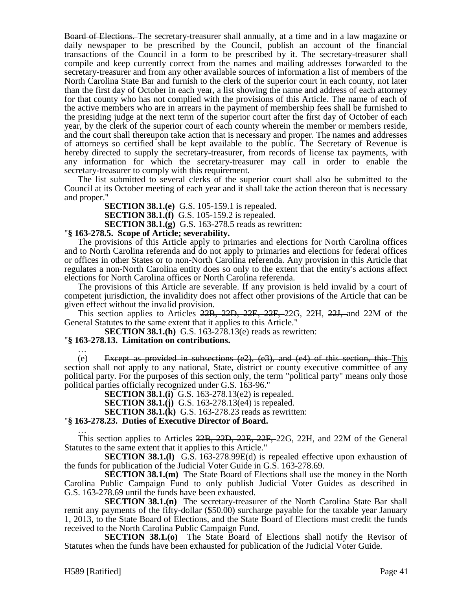Board of Elections. The secretary-treasurer shall annually, at a time and in a law magazine or daily newspaper to be prescribed by the Council, publish an account of the financial transactions of the Council in a form to be prescribed by it. The secretary-treasurer shall compile and keep currently correct from the names and mailing addresses forwarded to the secretary-treasurer and from any other available sources of information a list of members of the North Carolina State Bar and furnish to the clerk of the superior court in each county, not later than the first day of October in each year, a list showing the name and address of each attorney for that county who has not complied with the provisions of this Article. The name of each of the active members who are in arrears in the payment of membership fees shall be furnished to the presiding judge at the next term of the superior court after the first day of October of each year, by the clerk of the superior court of each county wherein the member or members reside, and the court shall thereupon take action that is necessary and proper. The names and addresses of attorneys so certified shall be kept available to the public. The Secretary of Revenue is hereby directed to supply the secretary-treasurer, from records of license tax payments, with any information for which the secretary-treasurer may call in order to enable the secretary-treasurer to comply with this requirement.

The list submitted to several clerks of the superior court shall also be submitted to the Council at its October meeting of each year and it shall take the action thereon that is necessary and proper."

**SECTION 38.1.(e)** G.S. 105-159.1 is repealed.

**SECTION 38.1.(f)** G.S. 105-159.2 is repealed.

**SECTION 38.1.(g)** G.S. 163-278.5 reads as rewritten:

#### "**§ 163-278.5. Scope of Article; severability.**

The provisions of this Article apply to primaries and elections for North Carolina offices and to North Carolina referenda and do not apply to primaries and elections for federal offices or offices in other States or to non-North Carolina referenda. Any provision in this Article that regulates a non-North Carolina entity does so only to the extent that the entity's actions affect elections for North Carolina offices or North Carolina referenda.

The provisions of this Article are severable. If any provision is held invalid by a court of competent jurisdiction, the invalidity does not affect other provisions of the Article that can be given effect without the invalid provision.

This section applies to Articles 22B, 22D, 22E, 22F, 22G, 22H, 22J, and 22M of the General Statutes to the same extent that it applies to this Article."

**SECTION 38.1.(h)** G.S. 163-278.13(e) reads as rewritten:

#### "**§ 163-278.13. Limitation on contributions.**

… (e) Except as provided in subsections  $(e2)$ ,  $(e3)$ , and  $(e4)$  of this section, this This section shall not apply to any national, State, district or county executive committee of any political party. For the purposes of this section only, the term "political party" means only those political parties officially recognized under G.S. 163-96."

**SECTION 38.1.(i)** G.S. 163-278.13(e2) is repealed.

**SECTION 38.1.(j)** G.S. 163-278.13(e4) is repealed.

**SECTION 38.1.(k)** G.S. 163-278.23 reads as rewritten:

#### "**§ 163-278.23. Duties of Executive Director of Board.**

… This section applies to Articles 22B, 22D, 22E, 22F, 22G, 22H, and 22M of the General Statutes to the same extent that it applies to this Article."

**SECTION 38.1.(I)** G.S. 163-278.99E(d) is repealed effective upon exhaustion of the funds for publication of the Judicial Voter Guide in G.S. 163-278.69.

**SECTION 38.1.(m)** The State Board of Elections shall use the money in the North Carolina Public Campaign Fund to only publish Judicial Voter Guides as described in G.S. 163-278.69 until the funds have been exhausted.

**SECTION 38.1.(n)** The secretary-treasurer of the North Carolina State Bar shall remit any payments of the fifty-dollar (\$50.00) surcharge payable for the taxable year January 1, 2013, to the State Board of Elections, and the State Board of Elections must credit the funds received to the North Carolina Public Campaign Fund.

**SECTION 38.1.(o)** The State Board of Elections shall notify the Revisor of Statutes when the funds have been exhausted for publication of the Judicial Voter Guide.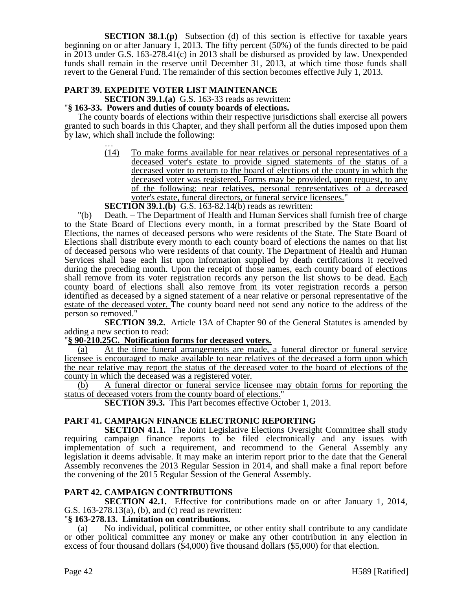**SECTION 38.1.(p)** Subsection (d) of this section is effective for taxable years beginning on or after January 1, 2013. The fifty percent (50%) of the funds directed to be paid in 2013 under G.S. 163-278.41(c) in 2013 shall be disbursed as provided by law. Unexpended funds shall remain in the reserve until December 31, 2013, at which time those funds shall revert to the General Fund. The remainder of this section becomes effective July 1, 2013.

### **PART 39. EXPEDITE VOTER LIST MAINTENANCE**

**SECTION 39.1.(a)** G.S. 163-33 reads as rewritten:

### "**§ 163-33. Powers and duties of county boards of elections.**

The county boards of elections within their respective jurisdictions shall exercise all powers granted to such boards in this Chapter, and they shall perform all the duties imposed upon them by law, which shall include the following:

… (14) To make forms available for near relatives or personal representatives of a deceased voter's estate to provide signed statements of the status of a deceased voter to return to the board of elections of the county in which the deceased voter was registered. Forms may be provided, upon request, to any of the following: near relatives, personal representatives of a deceased voter's estate, funeral directors, or funeral service licensees."

### **SECTION 39.1.(b)** G.S. 163-82.14(b) reads as rewritten:

"(b) Death. – The Department of Health and Human Services shall furnish free of charge to the State Board of Elections every month, in a format prescribed by the State Board of Elections, the names of deceased persons who were residents of the State. The State Board of Elections shall distribute every month to each county board of elections the names on that list of deceased persons who were residents of that county. The Department of Health and Human Services shall base each list upon information supplied by death certifications it received during the preceding month. Upon the receipt of those names, each county board of elections shall remove from its voter registration records any person the list shows to be dead. Each county board of elections shall also remove from its voter registration records a person identified as deceased by a signed statement of a near relative or personal representative of the estate of the deceased voter. The county board need not send any notice to the address of the person so removed."

**SECTION 39.2.** Article 13A of Chapter 90 of the General Statutes is amended by adding a new section to read:

#### "**§ 90-210.25C. Notification forms for deceased voters.**

(a) At the time funeral arrangements are made, a funeral director or funeral service licensee is encouraged to make available to near relatives of the deceased a form upon which the near relative may report the status of the deceased voter to the board of elections of the county in which the deceased was a registered voter.

(b) A funeral director or funeral service licensee may obtain forms for reporting the status of deceased voters from the county board of elections."

**SECTION 39.3.** This Part becomes effective October 1, 2013.

### **PART 41. CAMPAIGN FINANCE ELECTRONIC REPORTING**

**SECTION 41.1.** The Joint Legislative Elections Oversight Committee shall study requiring campaign finance reports to be filed electronically and any issues with implementation of such a requirement, and recommend to the General Assembly any legislation it deems advisable. It may make an interim report prior to the date that the General Assembly reconvenes the 2013 Regular Session in 2014, and shall make a final report before the convening of the 2015 Regular Session of the General Assembly.

### **PART 42. CAMPAIGN CONTRIBUTIONS**

**SECTION 42.1.** Effective for contributions made on or after January 1, 2014, G.S. 163-278.13(a), (b), and (c) read as rewritten:

#### "**§ 163-278.13. Limitation on contributions.**

No individual, political committee, or other entity shall contribute to any candidate or other political committee any money or make any other contribution in any election in excess of four thousand dollars  $(\$4,000)$  five thousand dollars  $(\$5,000)$  for that election.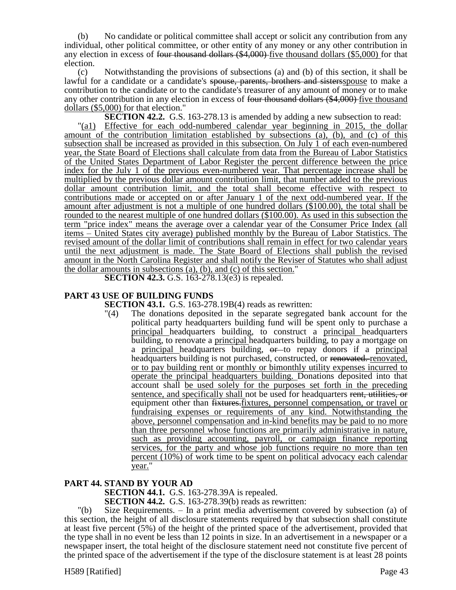(b) No candidate or political committee shall accept or solicit any contribution from any individual, other political committee, or other entity of any money or any other contribution in any election in excess of four thousand dollars (\$4,000) five thousand dollars (\$5,000) for that election.

(c) Notwithstanding the provisions of subsections (a) and (b) of this section, it shall be lawful for a candidate or a candidate's spouse, parents, brothers and sisters spouse to make a contribution to the candidate or to the candidate's treasurer of any amount of money or to make any other contribution in any election in excess of four thousand dollars (\$4,000) five thousand dollars (\$5,000) for that election."

**SECTION 42.2.** G.S. 163-278.13 is amended by adding a new subsection to read:

"(a1) Effective for each odd-numbered calendar year beginning in 2015, the dollar amount of the contribution limitation established by subsections (a), (b), and (c) of this subsection shall be increased as provided in this subsection. On July 1 of each even-numbered year, the State Board of Elections shall calculate from data from the Bureau of Labor Statistics of the United States Department of Labor Register the percent difference between the price index for the July 1 of the previous even-numbered year. That percentage increase shall be multiplied by the previous dollar amount contribution limit, that number added to the previous dollar amount contribution limit, and the total shall become effective with respect to contributions made or accepted on or after January 1 of the next odd-numbered year. If the amount after adjustment is not a multiple of one hundred dollars (\$100.00), the total shall be rounded to the nearest multiple of one hundred dollars (\$100.00). As used in this subsection the term "price index" means the average over a calendar year of the Consumer Price Index (all items – United States city average) published monthly by the Bureau of Labor Statistics. The revised amount of the dollar limit of contributions shall remain in effect for two calendar years until the next adjustment is made. The State Board of Elections shall publish the revised amount in the North Carolina Register and shall notify the Reviser of Statutes who shall adjust the dollar amounts in subsections (a), (b), and (c) of this section."

**SECTION 42.3.** G.S. 163-278.13(e3) is repealed.

# **PART 43 USE OF BUILDING FUNDS**

**SECTION 43.1.** G.S. 163-278.19B(4) reads as rewritten:

"(4) The donations deposited in the separate segregated bank account for the political party headquarters building fund will be spent only to purchase a principal headquarters building, to construct a principal headquarters building, to renovate a principal headquarters building, to pay a mortgage on a principal headquarters building,  $\theta$  to repay donors if a principal headquarters building is not purchased, constructed, or renovated. renovated, or to pay building rent or monthly or bimonthly utility expenses incurred to operate the principal headquarters building. Donations deposited into that account shall be used solely for the purposes set forth in the preceding sentence, and specifically shall not be used for headquarters rent, utilities, or equipment other than  $\frac{f}{f}$  fixtures, personnel compensation, or travel or fundraising expenses or requirements of any kind. Notwithstanding the above, personnel compensation and in-kind benefits may be paid to no more than three personnel whose functions are primarily administrative in nature, such as providing accounting, payroll, or campaign finance reporting services, for the party and whose job functions require no more than ten percent (10%) of work time to be spent on political advocacy each calendar year."

#### **PART 44. STAND BY YOUR AD**

**SECTION 44.1.** G.S. 163-278.39A is repealed.

**SECTION 44.2.** G.S. 163-278.39(b) reads as rewritten:

"(b) Size Requirements. – In a print media advertisement covered by subsection (a) of this section, the height of all disclosure statements required by that subsection shall constitute at least five percent (5%) of the height of the printed space of the advertisement, provided that the type shall in no event be less than 12 points in size. In an advertisement in a newspaper or a newspaper insert, the total height of the disclosure statement need not constitute five percent of the printed space of the advertisement if the type of the disclosure statement is at least 28 points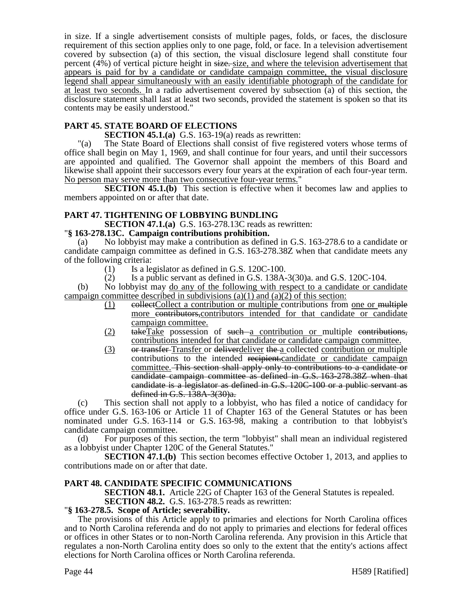in size. If a single advertisement consists of multiple pages, folds, or faces, the disclosure requirement of this section applies only to one page, fold, or face. In a television advertisement covered by subsection (a) of this section, the visual disclosure legend shall constitute four percent (4%) of vertical picture height in size. size, and where the television advertisement that appears is paid for by a candidate or candidate campaign committee, the visual disclosure legend shall appear simultaneously with an easily identifiable photograph of the candidate for at least two seconds. In a radio advertisement covered by subsection (a) of this section, the disclosure statement shall last at least two seconds, provided the statement is spoken so that its contents may be easily understood."

# **PART 45. STATE BOARD OF ELECTIONS**

### **SECTION 45.1.(a)** G.S. 163-19(a) reads as rewritten:

"(a) The State Board of Elections shall consist of five registered voters whose terms of office shall begin on May 1, 1969, and shall continue for four years, and until their successors are appointed and qualified. The Governor shall appoint the members of this Board and likewise shall appoint their successors every four years at the expiration of each four-year term. No person may serve more than two consecutive four-year terms."

**SECTION 45.1.(b)** This section is effective when it becomes law and applies to members appointed on or after that date.

### **PART 47. TIGHTENING OF LOBBYING BUNDLING**

**SECTION 47.1.(a)** G.S. 163-278.13C reads as rewritten:

### "**§ 163-278.13C. Campaign contributions prohibition.**

(a) No lobbyist may make a contribution as defined in G.S. 163-278.6 to a candidate or candidate campaign committee as defined in G.S. 163-278.38Z when that candidate meets any of the following criteria:

- $(1)$  Is a legislator as defined in G.S. 120C-100.
- (2) Is a public servant as defined in G.S.  $138A-3(30)a$ . and G.S.  $120C-104$ .

(b) No lobbyist may do any of the following with respect to a candidate or candidate campaign committee described in subdivisions (a)(1) and (a)(2) of this section:

- $(1)$  eollectCollect a contribution or multiple contributions from one or multiple more contributors, contributors intended for that candidate or candidate campaign committee.
- (2) takeTake possession of such a contribution or multiple contributions, contributions intended for that candidate or candidate campaign committee.
- (3) or transfer-Transfer or deliverdeliver the a collected contribution or multiple contributions to the intended recipient.candidate or candidate campaign committee. This section shall apply only to contributions to a candidate or candidate campaign committee as defined in G.S. 163-278.38Z when that candidate is a legislator as defined in G.S. 120C-100 or a public servant as defined in G.S. 138A-3(30)a.

(c) This section shall not apply to a lobbyist, who has filed a notice of candidacy for office under G.S. 163-106 or Article 11 of Chapter 163 of the General Statutes or has been nominated under G.S. 163-114 or G.S. 163-98, making a contribution to that lobbyist's candidate campaign committee.

(d) For purposes of this section, the term "lobbyist" shall mean an individual registered as a lobbyist under Chapter 120C of the General Statutes."

**SECTION 47.1.(b)** This section becomes effective October 1, 2013, and applies to contributions made on or after that date.

#### **PART 48. CANDIDATE SPECIFIC COMMUNICATIONS**

**SECTION 48.1.** Article 22G of Chapter 163 of the General Statutes is repealed.

#### **SECTION 48.2.** G.S. 163-278.5 reads as rewritten:

#### "**§ 163-278.5. Scope of Article; severability.**

The provisions of this Article apply to primaries and elections for North Carolina offices and to North Carolina referenda and do not apply to primaries and elections for federal offices or offices in other States or to non-North Carolina referenda. Any provision in this Article that regulates a non-North Carolina entity does so only to the extent that the entity's actions affect elections for North Carolina offices or North Carolina referenda.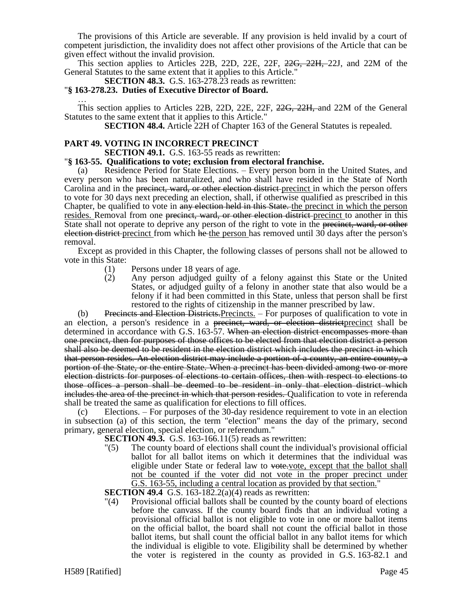The provisions of this Article are severable. If any provision is held invalid by a court of competent jurisdiction, the invalidity does not affect other provisions of the Article that can be given effect without the invalid provision.

This section applies to Articles 22B, 22D, 22E, 22F, 22G, 22H, 22J, and 22M of the General Statutes to the same extent that it applies to this Article."

**SECTION 48.3.** G.S. 163-278.23 reads as rewritten:

#### "**§ 163-278.23. Duties of Executive Director of Board.**

… This section applies to Articles 22B, 22D, 22E, 22F, 22G, 22H, and 22M of the General Statutes to the same extent that it applies to this Article."

**SECTION 48.4.** Article 22H of Chapter 163 of the General Statutes is repealed.

### **PART 49. VOTING IN INCORRECT PRECINCT**

**SECTION 49.1.** G.S. 163-55 reads as rewritten:

#### "**§ 163-55. Qualifications to vote; exclusion from electoral franchise.**

Residence Period for State Elections. – Every person born in the United States, and every person who has been naturalized, and who shall have resided in the State of North Carolina and in the <del>precinct, ward, or other election district</del>-precinct in which the person offers to vote for 30 days next preceding an election, shall, if otherwise qualified as prescribed in this Chapter, be qualified to vote in any election held in this State. the precinct in which the person resides. Removal from one precinct, ward, or other election district-precinct to another in this State shall not operate to deprive any person of the right to vote in the precinct, ward, or other election district precinct from which he the person has removed until 30 days after the person's removal.

Except as provided in this Chapter, the following classes of persons shall not be allowed to vote in this State:

- (1) Persons under 18 years of age.
- (2) Any person adjudged guilty of a felony against this State or the United States, or adjudged guilty of a felony in another state that also would be a felony if it had been committed in this State, unless that person shall be first restored to the rights of citizenship in the manner prescribed by law.

(b) Precincts and Election Districts. Precincts. – For purposes of qualification to vote in an election, a person's residence in a <del>precinct, ward, or election district</del> precinct shall be determined in accordance with G.S. 163-57. When an election district encompasses more than one precinct, then for purposes of those offices to be elected from that election district a person shall also be deemed to be resident in the election district which includes the precinct in which that person resides. An election district may include a portion of a county, an entire county, a portion of the State, or the entire State. When a precinct has been divided among two or more election districts for purposes of elections to certain offices, then with respect to elections to those offices a person shall be deemed to be resident in only that election district which includes the area of the precinct in which that person resides. Qualification to vote in referenda shall be treated the same as qualification for elections to fill offices.

(c) Elections. – For purposes of the 30-day residence requirement to vote in an election in subsection (a) of this section, the term "election" means the day of the primary, second primary, general election, special election, or referendum."

- **SECTION 49.3.** G.S. 163-166.11(5) reads as rewritten:
- "(5) The county board of elections shall count the individual's provisional official ballot for all ballot items on which it determines that the individual was eligible under State or federal law to vote.vote, except that the ballot shall not be counted if the voter did not vote in the proper precinct under G.S. 163-55, including a central location as provided by that section."

**SECTION 49.4** G.S. 163-182.2(a)(4) reads as rewritten:

"(4) Provisional official ballots shall be counted by the county board of elections before the canvass. If the county board finds that an individual voting a provisional official ballot is not eligible to vote in one or more ballot items on the official ballot, the board shall not count the official ballot in those ballot items, but shall count the official ballot in any ballot items for which the individual is eligible to vote. Eligibility shall be determined by whether the voter is registered in the county as provided in G.S. 163-82.1 and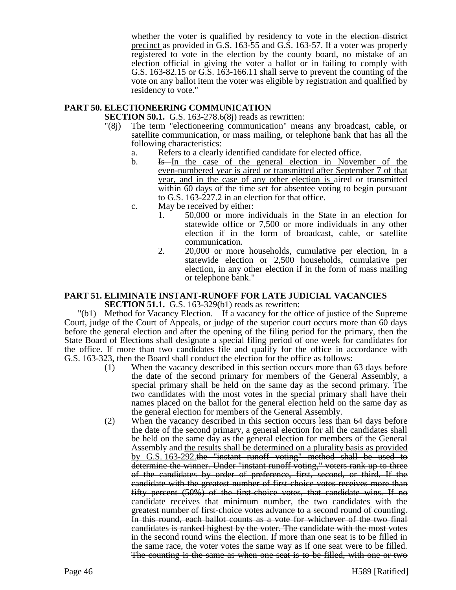whether the voter is qualified by residency to vote in the election district precinct as provided in G.S. 163-55 and G.S. 163-57. If a voter was properly registered to vote in the election by the county board, no mistake of an election official in giving the voter a ballot or in failing to comply with G.S. 163-82.15 or G.S. 163-166.11 shall serve to prevent the counting of the vote on any ballot item the voter was eligible by registration and qualified by residency to vote."

### **PART 50. ELECTIONEERING COMMUNICATION**

**SECTION 50.1.** G.S. 163-278.6(8) reads as rewritten:

- "(8j) The term "electioneering communication" means any broadcast, cable, or satellite communication, or mass mailing, or telephone bank that has all the following characteristics:
	- a. Refers to a clearly identified candidate for elected office.
	- b. Is In the case of the general election in November of the even-numbered year is aired or transmitted after September 7 of that year, and in the case of any other election is aired or transmitted within 60 days of the time set for absentee voting to begin pursuant to G.S. 163-227.2 in an election for that office.
	- c. May be received by either:
		- 1. 50,000 or more individuals in the State in an election for statewide office or 7,500 or more individuals in any other election if in the form of broadcast, cable, or satellite communication.
		- 2. 20,000 or more households, cumulative per election, in a statewide election or 2,500 households, cumulative per election, in any other election if in the form of mass mailing or telephone bank."

#### **PART 51. ELIMINATE INSTANT-RUNOFF FOR LATE JUDICIAL VACANCIES SECTION 51.1.** G.S. 163-329(b1) reads as rewritten:

"(b1) Method for Vacancy Election. – If a vacancy for the office of justice of the Supreme Court, judge of the Court of Appeals, or judge of the superior court occurs more than 60 days before the general election and after the opening of the filing period for the primary, then the State Board of Elections shall designate a special filing period of one week for candidates for the office. If more than two candidates file and qualify for the office in accordance with G.S. 163-323, then the Board shall conduct the election for the office as follows:

- (1) When the vacancy described in this section occurs more than 63 days before the date of the second primary for members of the General Assembly, a special primary shall be held on the same day as the second primary. The two candidates with the most votes in the special primary shall have their names placed on the ballot for the general election held on the same day as the general election for members of the General Assembly.
- (2) When the vacancy described in this section occurs less than 64 days before the date of the second primary, a general election for all the candidates shall be held on the same day as the general election for members of the General Assembly and the results shall be determined on a plurality basis as provided by G.S. 163-292.the "instant runoff voting" method shall be used to determine the winner. Under "instant runoff voting," voters rank up to three of the candidates by order of preference, first, second, or third. If the candidate with the greatest number of first-choice votes receives more than fifty percent (50%) of the first-choice votes, that candidate wins. If no candidate receives that minimum number, the two candidates with the greatest number of first-choice votes advance to a second round of counting. In this round, each ballot counts as a vote for whichever of the two final candidates is ranked highest by the voter. The candidate with the most votes in the second round wins the election. If more than one seat is to be filled in the same race, the voter votes the same way as if one seat were to be filled. The counting is the same as when one seat is to be filled, with one or two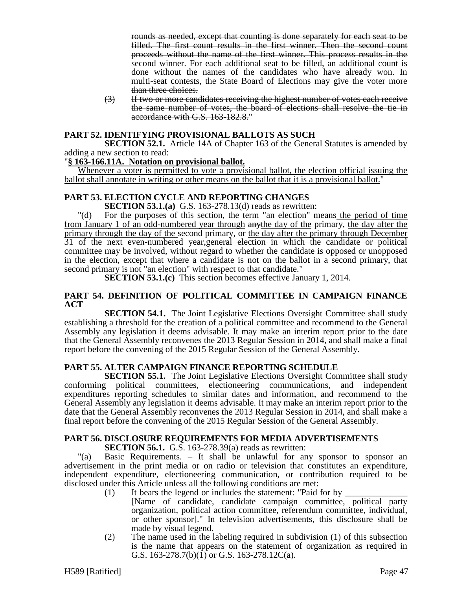rounds as needed, except that counting is done separately for each seat to be filled. The first count results in the first winner. Then the second count proceeds without the name of the first winner. This process results in the second winner. For each additional seat to be filled, an additional count is done without the names of the candidates who have already won. In multi-seat contests, the State Board of Elections may give the voter more than three choices.

(3) If two or more candidates receiving the highest number of votes each receive the same number of votes, the board of elections shall resolve the tie in accordance with G.S. 163-182.8."

### **PART 52. IDENTIFYING PROVISIONAL BALLOTS AS SUCH**

**SECTION 52.1.** Article 14A of Chapter 163 of the General Statutes is amended by adding a new section to read:

#### "**§ 163-166.11A. Notation on provisional ballot.**

Whenever a voter is permitted to vote a provisional ballot, the election official issuing the ballot shall annotate in writing or other means on the ballot that it is a provisional ballot."

# **PART 53. ELECTION CYCLE AND REPORTING CHANGES**

**SECTION 53.1.(a)** G.S. 163-278.13(d) reads as rewritten:

"(d) For the purposes of this section, the term "an election" means the period of time from January 1 of an odd-numbered year through anythe day of the primary, the day after the primary through the day of the second primary, or the day after the primary through December 31 of the next even-numbered year, general election in which the candidate or political committee may be involved, without regard to whether the candidate is opposed or unopposed in the election, except that where a candidate is not on the ballot in a second primary, that second primary is not "an election" with respect to that candidate."

**SECTION 53.1.(c)** This section becomes effective January 1, 2014.

### **PART 54. DEFINITION OF POLITICAL COMMITTEE IN CAMPAIGN FINANCE ACT**

**SECTION 54.1.** The Joint Legislative Elections Oversight Committee shall study establishing a threshold for the creation of a political committee and recommend to the General Assembly any legislation it deems advisable. It may make an interim report prior to the date that the General Assembly reconvenes the 2013 Regular Session in 2014, and shall make a final report before the convening of the 2015 Regular Session of the General Assembly.

### **PART 55. ALTER CAMPAIGN FINANCE REPORTING SCHEDULE**

**SECTION 55.1.** The Joint Legislative Elections Oversight Committee shall study conforming political committees, electioneering communications, and independent expenditures reporting schedules to similar dates and information, and recommend to the General Assembly any legislation it deems advisable. It may make an interim report prior to the date that the General Assembly reconvenes the 2013 Regular Session in 2014, and shall make a final report before the convening of the 2015 Regular Session of the General Assembly.

# **PART 56. DISCLOSURE REQUIREMENTS FOR MEDIA ADVERTISEMENTS**

**SECTION 56.1.** G.S. 163-278.39(a) reads as rewritten:

"(a) Basic Requirements. – It shall be unlawful for any sponsor to sponsor an advertisement in the print media or on radio or television that constitutes an expenditure, independent expenditure, electioneering communication, or contribution required to be disclosed under this Article unless all the following conditions are met:

- (1) It bears the legend or includes the statement: "Paid for by  $\overline{\phantom{a}}$ 
	- [Name of candidate, candidate campaign committee, political party organization, political action committee, referendum committee, individual, or other sponsor]." In television advertisements, this disclosure shall be made by visual legend.
- (2) The name used in the labeling required in subdivision (1) of this subsection is the name that appears on the statement of organization as required in G.S. 163-278.7(b)(1) or G.S. 163-278.12C(a).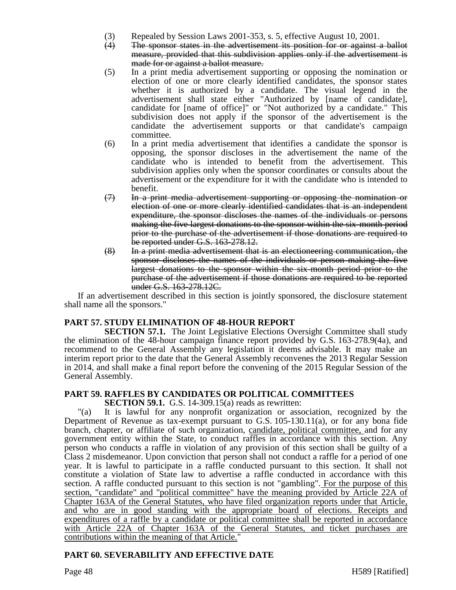- (3) Repealed by Session Laws 2001-353, s. 5, effective August 10, 2001.
- (4) The sponsor states in the advertisement its position for or against a ballot measure, provided that this subdivision applies only if the advertisement is made for or against a ballot measure.
- (5) In a print media advertisement supporting or opposing the nomination or election of one or more clearly identified candidates, the sponsor states whether it is authorized by a candidate. The visual legend in the advertisement shall state either "Authorized by [name of candidate], candidate for [name of office]" or "Not authorized by a candidate." This subdivision does not apply if the sponsor of the advertisement is the candidate the advertisement supports or that candidate's campaign committee.
- (6) In a print media advertisement that identifies a candidate the sponsor is opposing, the sponsor discloses in the advertisement the name of the candidate who is intended to benefit from the advertisement. This subdivision applies only when the sponsor coordinates or consults about the advertisement or the expenditure for it with the candidate who is intended to benefit.
- $(7)$  In a print media advertisement supporting or opposing the nomination or election of one or more clearly identified candidates that is an independent expenditure, the sponsor discloses the names of the individuals or persons making the five largest donations to the sponsor within the six-month period prior to the purchase of the advertisement if those donations are required to be reported under G.S. 163-278.12.
- (8) In a print media advertisement that is an electioneering communication, the sponsor discloses the names of the individuals or person making the five largest donations to the sponsor within the six-month period prior to the purchase of the advertisement if those donations are required to be reported under G.S. 163-278.12C.

If an advertisement described in this section is jointly sponsored, the disclosure statement shall name all the sponsors."

# **PART 57. STUDY ELIMINATION OF 48-HOUR REPORT**

**SECTION 57.1.** The Joint Legislative Elections Oversight Committee shall study the elimination of the 48-hour campaign finance report provided by G.S. 163-278.9(4a), and recommend to the General Assembly any legislation it deems advisable. It may make an interim report prior to the date that the General Assembly reconvenes the 2013 Regular Session in 2014, and shall make a final report before the convening of the 2015 Regular Session of the General Assembly.

# **PART 59. RAFFLES BY CANDIDATES OR POLITICAL COMMITTEES**

**SECTION 59.1.** G.S. 14-309.15(a) reads as rewritten:

"(a) It is lawful for any nonprofit organization or association, recognized by the Department of Revenue as tax-exempt pursuant to G.S. 105-130.11(a), or for any bona fide branch, chapter, or affiliate of such organization, candidate, political committee, and for any government entity within the State, to conduct raffles in accordance with this section. Any person who conducts a raffle in violation of any provision of this section shall be guilty of a Class 2 misdemeanor. Upon conviction that person shall not conduct a raffle for a period of one year. It is lawful to participate in a raffle conducted pursuant to this section. It shall not constitute a violation of State law to advertise a raffle conducted in accordance with this section. A raffle conducted pursuant to this section is not "gambling". For the purpose of this section, "candidate" and "political committee" have the meaning provided by Article 22A of Chapter 163A of the General Statutes, who have filed organization reports under that Article, and who are in good standing with the appropriate board of elections. Receipts and expenditures of a raffle by a candidate or political committee shall be reported in accordance with Article 22A of Chapter 163A of the General Statutes, and ticket purchases are contributions within the meaning of that Article."

# **PART 60. SEVERABILITY AND EFFECTIVE DATE**